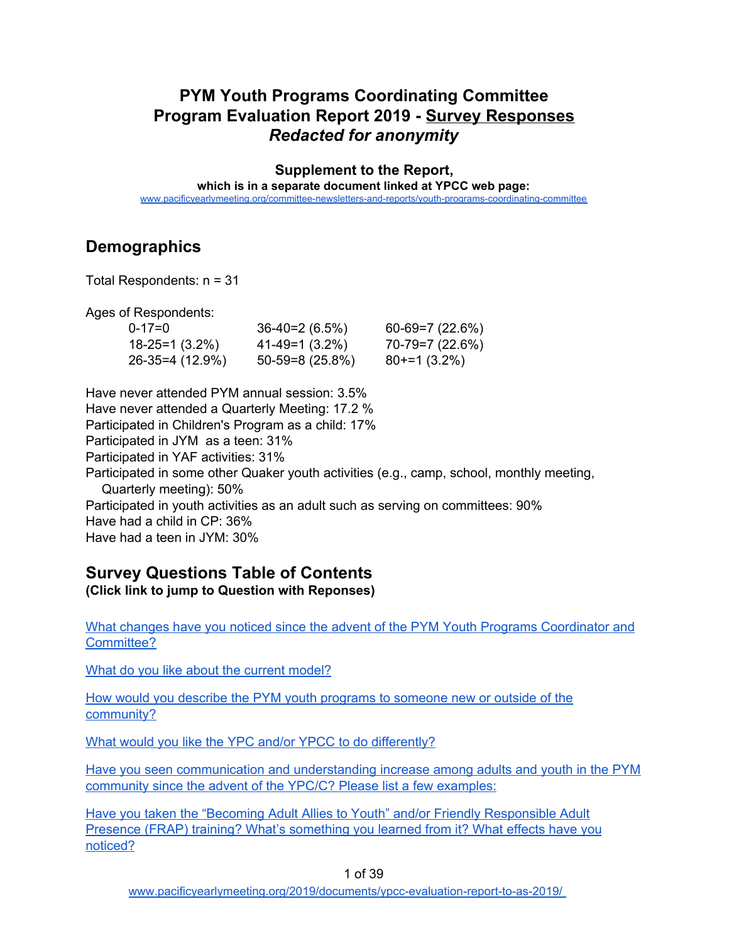## **PYM Youth Programs Coordinating Committee Program Evaluation Report 2019 - Survey Responses** *Redacted for anonymity*

**Supplement to the Report,**

**which is in a separate document linked at YPCC web page:**

[www.pacificyearlymeeting.org/committee-newsletters-and-reports/youth-programs-coordinating-committee](http://www.pacificyearlymeeting.org/committee-newsletters-and-reports/youth-programs-coordinating-committee)

# **Demographics**

Total Respondents: n = 31

Ages of Respondents:

| $0 - 17 = 0$         | $36-40=2(6.5%)$   | $60-69=7(22.6%)$ |
|----------------------|-------------------|------------------|
| $18 - 25 = 1(3.2\%)$ | $41-49=1(3.2%)$   | $70-79=7(22.6%)$ |
| 26-35=4 (12.9%)      | $50-59=8(25.8\%)$ | $80+=1(3.2\%)$   |

Have never attended PYM annual session: 3.5% Have never attended a Quarterly Meeting: 17.2 % Participated in Children's Program as a child: 17% Participated in JYM as a teen: 31% Participated in YAF activities: 31% Participated in some other Quaker youth activities (e.g., camp, school, monthly meeting, Quarterly meeting): 50% Participated in youth activities as an adult such as serving on committees: 90% Have had a child in CP: 36% Have had a teen in JYM: 30%

### **Survey Questions Table of Contents (Click link to jump to Question with Reponses)**

What changes have you noticed since the advent of the PYM Youth Programs [Coordinator](#page-2-0) and [Committee?](#page-2-0)

What do you like about the current [model?](#page-4-0)

How would you describe the PYM youth [programs](#page-6-0) to someone new or outside of the [community?](#page-6-0)

What would you like the YPC and/or YPCC to do [differently?](#page-8-0)

Have you seen [communication](#page-11-0) and understanding increase among adults and youth in the PYM [community](#page-11-0) since the advent of the YPC/C? Please list a few examples:

Have you taken the "Becoming Adult Allies to Youth" and/or Friendly [Responsible](#page-13-0) Adult Presence (FRAP) training? What's [something](#page-13-0) you learned from it? What effects have you [noticed?](#page-13-0)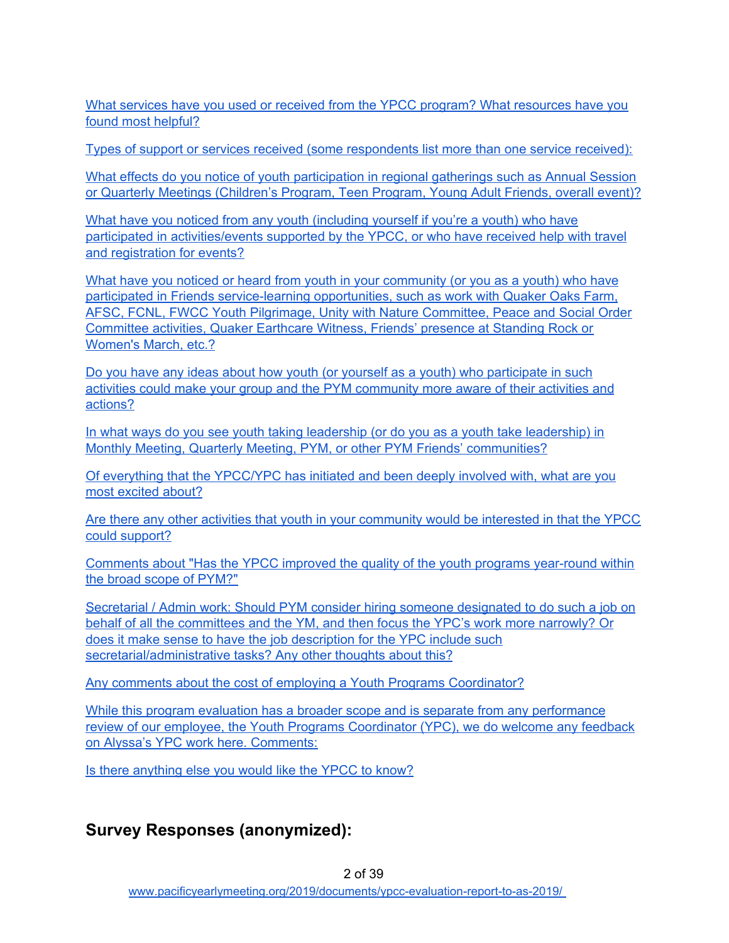What services have you used or received from the YPCC program? What [resources](#page-14-0) have you found most [helpful?](#page-14-0)

Types of support or services received (some [respondents](#page-14-1) list more than one service received):

What effects do you notice of youth [participation](#page-16-0) in regional gatherings such as Annual Session or Quarterly Meetings [\(Children's](#page-16-0) Program, Teen Program, Young Adult Friends, overall event)?

What have you noticed from any youth [\(including](#page-19-0) yourself if you're a youth) who have participated in [activities/events](#page-19-0) supported by the YPCC, or who have received help with travel and [registration](#page-19-0) for events?

What have you noticed or heard from youth in your [community](#page-21-0) (or you as a youth) who have participated in Friends [service-learning](#page-21-0) opportunities, such as work with Quaker Oaks Farm, AFSC, FCNL, FWCC Youth Pilgrimage, Unity with Nature [Committee,](#page-21-0) Peace and Social Order [Committee](#page-21-0) activities, Quaker Earthcare Witness, Friends' presence at Standing Rock or [Women's](#page-21-0) March, etc.?

Do you have any ideas about how youth (or yourself as a youth) who [participate](#page-23-0) in such activities could make your group and the PYM [community](#page-23-0) more aware of their activities and [actions?](#page-23-0)

In what ways do you see youth taking leadership (or do you as a youth take [leadership\)](#page-25-0) in Monthly Meeting, Quarterly Meeting, PYM, or other PYM Friends' [communities?](#page-25-0)

Of everything that the [YPCC/YPC](#page-26-0) has initiated and been deeply involved with, what are you most [excited](#page-26-0) about?

Are there any other activities that youth in your [community](#page-27-0) would be interested in that the YPCC could [support?](#page-27-0)

Comments about "Has the YPCC improved the quality of the youth programs [year-round](#page-28-0) within the broad scope of [PYM?"](#page-28-0)

Secretarial / Admin work: Should PYM consider hiring someone [designated](#page-29-0) to do such a job on behalf of all the [committees](#page-29-0) and the YM, and then focus the YPC's work more narrowly? Or does it make sense to have the job [description](#page-29-0) for the YPC include such [secretarial/administrative](#page-29-0) tasks? Any other thoughts about this?

Any comments about the cost of employing a Youth Programs [Coordinator?](#page-31-0)

While this program evaluation has a broader scope and is separate from any [performance](#page-33-0) review of our employee, the Youth Programs [Coordinator](#page-33-0) (YPC), we do welcome any feedback on Alyssa's YPC work here. [Comments:](#page-33-0)

Is there [anything](#page-35-0) else you would like the YPCC to know?

## **Survey Responses (anonymized):**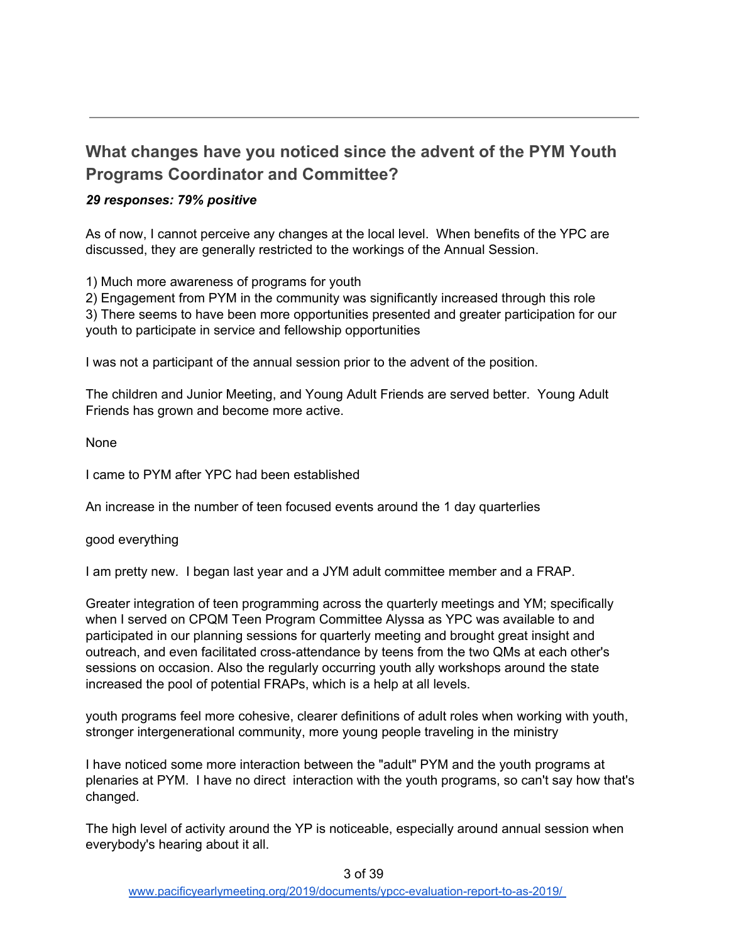# <span id="page-2-0"></span>**What changes have you noticed since the advent of the PYM Youth Programs Coordinator and Committee?**

#### *29 responses: 79% positive*

As of now, I cannot perceive any changes at the local level. When benefits of the YPC are discussed, they are generally restricted to the workings of the Annual Session.

1) Much more awareness of programs for youth

2) Engagement from PYM in the community was significantly increased through this role 3) There seems to have been more opportunities presented and greater participation for our youth to participate in service and fellowship opportunities

I was not a participant of the annual session prior to the advent of the position.

The children and Junior Meeting, and Young Adult Friends are served better. Young Adult Friends has grown and become more active.

None

I came to PYM after YPC had been established

An increase in the number of teen focused events around the 1 day quarterlies

good everything

I am pretty new. I began last year and a JYM adult committee member and a FRAP.

Greater integration of teen programming across the quarterly meetings and YM; specifically when I served on CPQM Teen Program Committee Alyssa as YPC was available to and participated in our planning sessions for quarterly meeting and brought great insight and outreach, and even facilitated cross-attendance by teens from the two QMs at each other's sessions on occasion. Also the regularly occurring youth ally workshops around the state increased the pool of potential FRAPs, which is a help at all levels.

youth programs feel more cohesive, clearer definitions of adult roles when working with youth, stronger intergenerational community, more young people traveling in the ministry

I have noticed some more interaction between the "adult" PYM and the youth programs at plenaries at PYM. I have no direct interaction with the youth programs, so can't say how that's changed.

The high level of activity around the YP is noticeable, especially around annual session when everybody's hearing about it all.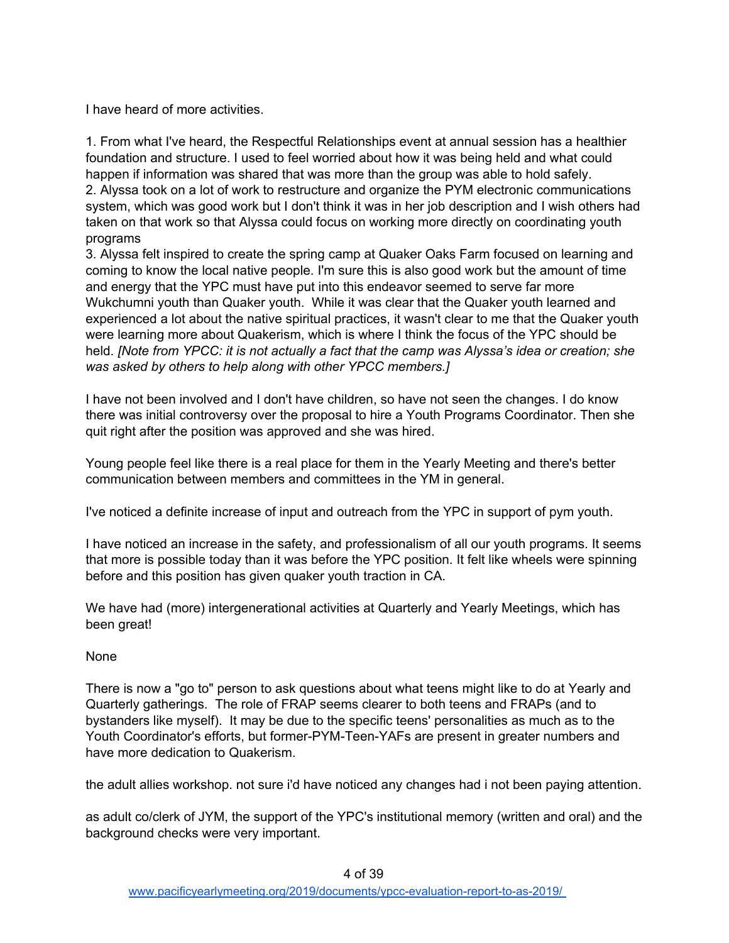I have heard of more activities.

1. From what I've heard, the Respectful Relationships event at annual session has a healthier foundation and structure. I used to feel worried about how it was being held and what could happen if information was shared that was more than the group was able to hold safely. 2. Alyssa took on a lot of work to restructure and organize the PYM electronic communications system, which was good work but I don't think it was in her job description and I wish others had taken on that work so that Alyssa could focus on working more directly on coordinating youth programs

3. Alyssa felt inspired to create the spring camp at Quaker Oaks Farm focused on learning and coming to know the local native people. I'm sure this is also good work but the amount of time and energy that the YPC must have put into this endeavor seemed to serve far more Wukchumni youth than Quaker youth. While it was clear that the Quaker youth learned and experienced a lot about the native spiritual practices, it wasn't clear to me that the Quaker youth were learning more about Quakerism, which is where I think the focus of the YPC should be held. *[Note from YPCC: it is not actually a fact that the camp was Alyssa's idea or creation; she was asked by others to help along with other YPCC members.]*

I have not been involved and I don't have children, so have not seen the changes. I do know there was initial controversy over the proposal to hire a Youth Programs Coordinator. Then she quit right after the position was approved and she was hired.

Young people feel like there is a real place for them in the Yearly Meeting and there's better communication between members and committees in the YM in general.

I've noticed a definite increase of input and outreach from the YPC in support of pym youth.

I have noticed an increase in the safety, and professionalism of all our youth programs. It seems that more is possible today than it was before the YPC position. It felt like wheels were spinning before and this position has given quaker youth traction in CA.

We have had (more) intergenerational activities at Quarterly and Yearly Meetings, which has been great!

#### None

There is now a "go to" person to ask questions about what teens might like to do at Yearly and Quarterly gatherings. The role of FRAP seems clearer to both teens and FRAPs (and to bystanders like myself). It may be due to the specific teens' personalities as much as to the Youth Coordinator's efforts, but former-PYM-Teen-YAFs are present in greater numbers and have more dedication to Quakerism.

the adult allies workshop. not sure i'd have noticed any changes had i not been paying attention.

as adult co/clerk of JYM, the support of the YPC's institutional memory (written and oral) and the background checks were very important.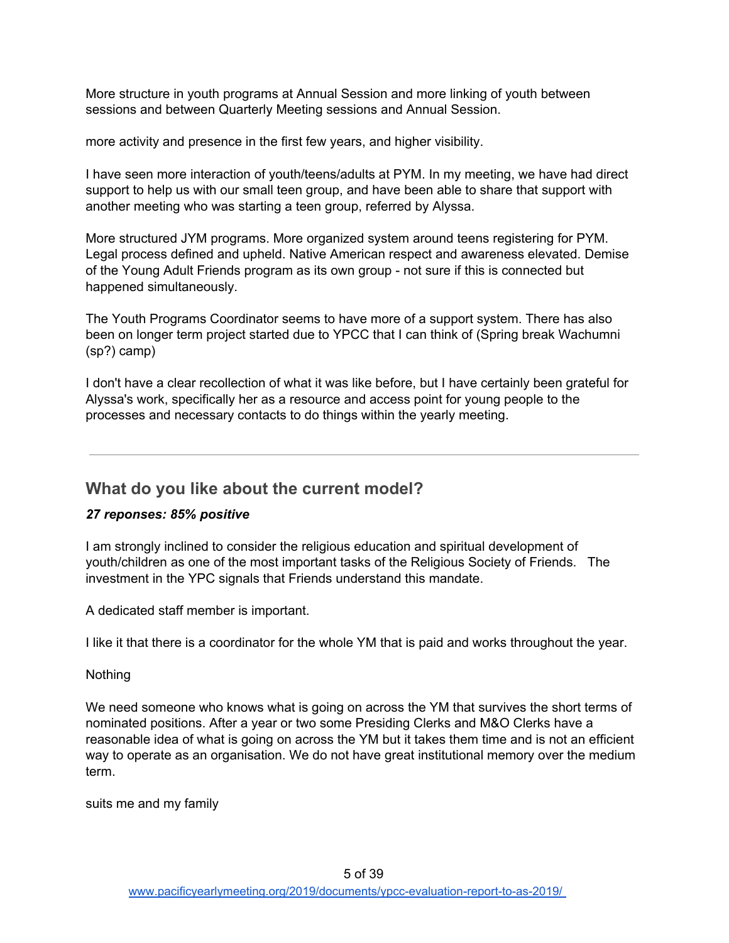More structure in youth programs at Annual Session and more linking of youth between sessions and between Quarterly Meeting sessions and Annual Session.

more activity and presence in the first few years, and higher visibility.

I have seen more interaction of youth/teens/adults at PYM. In my meeting, we have had direct support to help us with our small teen group, and have been able to share that support with another meeting who was starting a teen group, referred by Alyssa.

More structured JYM programs. More organized system around teens registering for PYM. Legal process defined and upheld. Native American respect and awareness elevated. Demise of the Young Adult Friends program as its own group - not sure if this is connected but happened simultaneously.

The Youth Programs Coordinator seems to have more of a support system. There has also been on longer term project started due to YPCC that I can think of (Spring break Wachumni (sp?) camp)

I don't have a clear recollection of what it was like before, but I have certainly been grateful for Alyssa's work, specifically her as a resource and access point for young people to the processes and necessary contacts to do things within the yearly meeting.

## <span id="page-4-0"></span>**What do you like about the current model?**

#### *27 reponses: 85% positive*

I am strongly inclined to consider the religious education and spiritual development of youth/children as one of the most important tasks of the Religious Society of Friends. The investment in the YPC signals that Friends understand this mandate.

A dedicated staff member is important.

I like it that there is a coordinator for the whole YM that is paid and works throughout the year.

#### **Nothing**

We need someone who knows what is going on across the YM that survives the short terms of nominated positions. After a year or two some Presiding Clerks and M&O Clerks have a reasonable idea of what is going on across the YM but it takes them time and is not an efficient way to operate as an organisation. We do not have great institutional memory over the medium term.

suits me and my family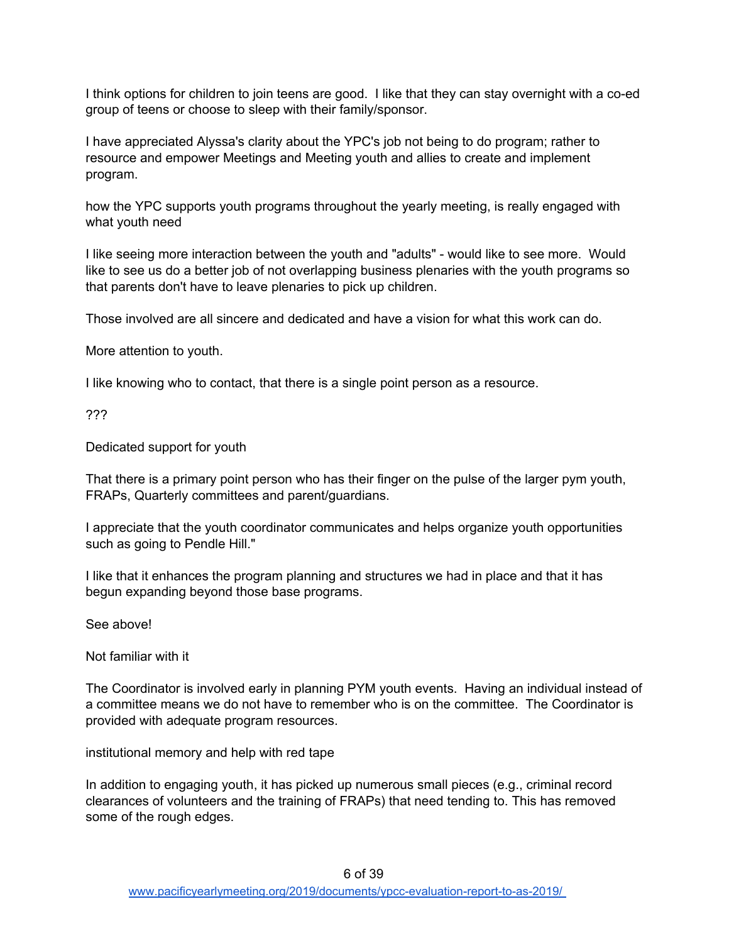I think options for children to join teens are good. I like that they can stay overnight with a co-ed group of teens or choose to sleep with their family/sponsor.

I have appreciated Alyssa's clarity about the YPC's job not being to do program; rather to resource and empower Meetings and Meeting youth and allies to create and implement program.

how the YPC supports youth programs throughout the yearly meeting, is really engaged with what youth need

I like seeing more interaction between the youth and "adults" - would like to see more. Would like to see us do a better job of not overlapping business plenaries with the youth programs so that parents don't have to leave plenaries to pick up children.

Those involved are all sincere and dedicated and have a vision for what this work can do.

More attention to youth.

I like knowing who to contact, that there is a single point person as a resource.

???

Dedicated support for youth

That there is a primary point person who has their finger on the pulse of the larger pym youth, FRAPs, Quarterly committees and parent/guardians.

I appreciate that the youth coordinator communicates and helps organize youth opportunities such as going to Pendle Hill."

I like that it enhances the program planning and structures we had in place and that it has begun expanding beyond those base programs.

See above!

Not familiar with it

The Coordinator is involved early in planning PYM youth events. Having an individual instead of a committee means we do not have to remember who is on the committee. The Coordinator is provided with adequate program resources.

institutional memory and help with red tape

In addition to engaging youth, it has picked up numerous small pieces (e.g., criminal record clearances of volunteers and the training of FRAPs) that need tending to. This has removed some of the rough edges.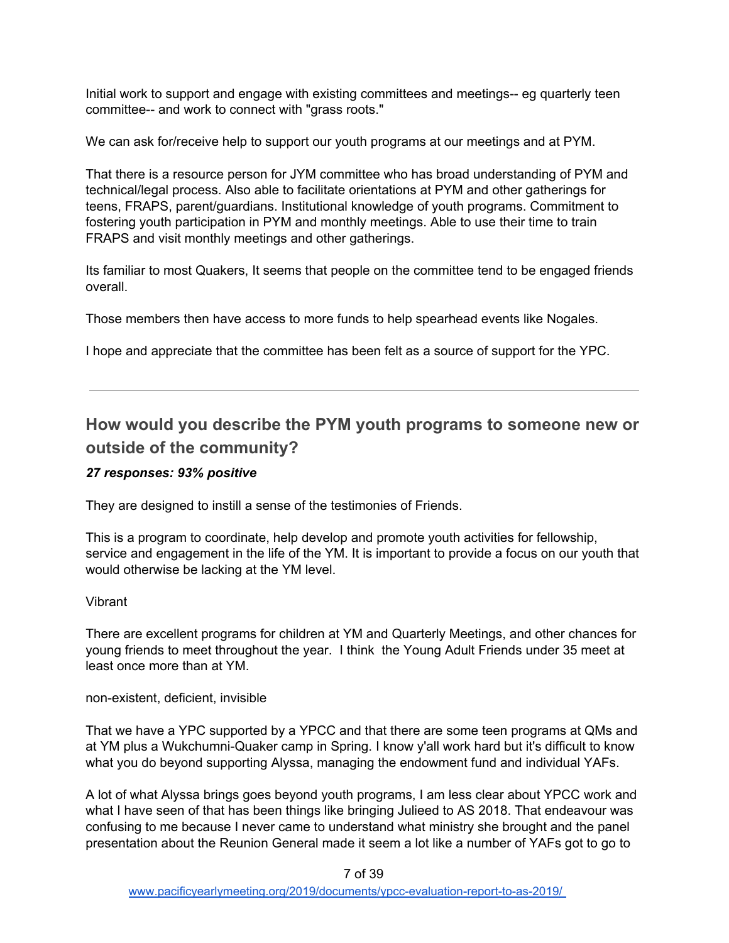Initial work to support and engage with existing committees and meetings-- eg quarterly teen committee-- and work to connect with "grass roots."

We can ask for/receive help to support our youth programs at our meetings and at PYM.

That there is a resource person for JYM committee who has broad understanding of PYM and technical/legal process. Also able to facilitate orientations at PYM and other gatherings for teens, FRAPS, parent/guardians. Institutional knowledge of youth programs. Commitment to fostering youth participation in PYM and monthly meetings. Able to use their time to train FRAPS and visit monthly meetings and other gatherings.

Its familiar to most Quakers, It seems that people on the committee tend to be engaged friends overall.

Those members then have access to more funds to help spearhead events like Nogales.

I hope and appreciate that the committee has been felt as a source of support for the YPC.

# <span id="page-6-0"></span>**How would you describe the PYM youth programs to someone new or outside of the community?**

#### *27 responses: 93% positive*

They are designed to instill a sense of the testimonies of Friends.

This is a program to coordinate, help develop and promote youth activities for fellowship, service and engagement in the life of the YM. It is important to provide a focus on our youth that would otherwise be lacking at the YM level.

#### Vibrant

There are excellent programs for children at YM and Quarterly Meetings, and other chances for young friends to meet throughout the year. I think the Young Adult Friends under 35 meet at least once more than at YM.

non-existent, deficient, invisible

That we have a YPC supported by a YPCC and that there are some teen programs at QMs and at YM plus a Wukchumni-Quaker camp in Spring. I know y'all work hard but it's difficult to know what you do beyond supporting Alyssa, managing the endowment fund and individual YAFs.

A lot of what Alyssa brings goes beyond youth programs, I am less clear about YPCC work and what I have seen of that has been things like bringing Julieed to AS 2018. That endeavour was confusing to me because I never came to understand what ministry she brought and the panel presentation about the Reunion General made it seem a lot like a number of YAFs got to go to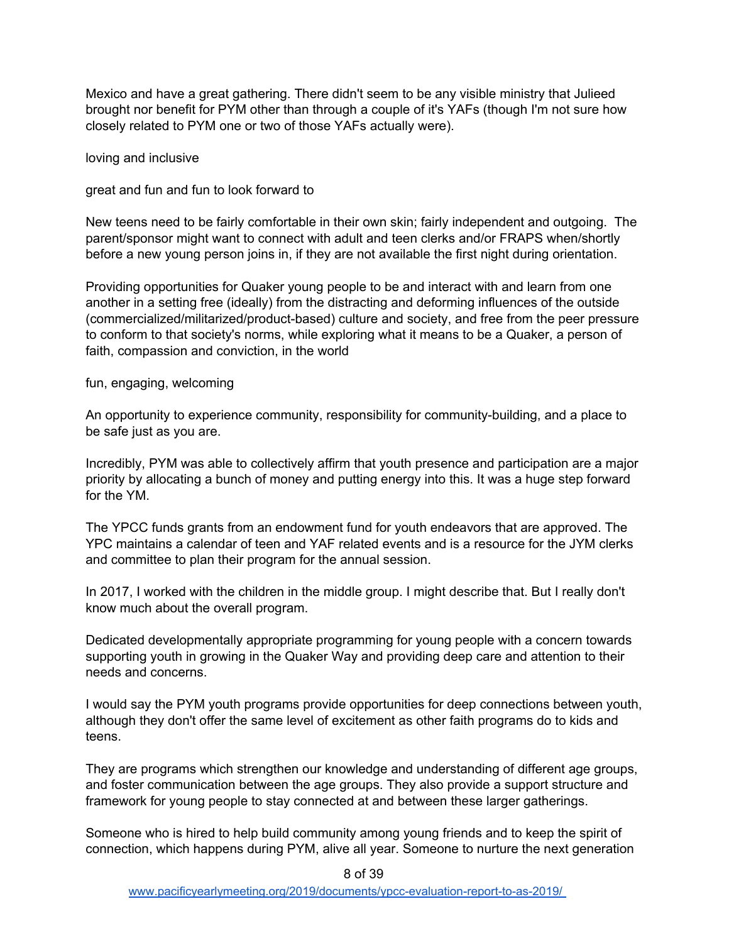Mexico and have a great gathering. There didn't seem to be any visible ministry that Julieed brought nor benefit for PYM other than through a couple of it's YAFs (though I'm not sure how closely related to PYM one or two of those YAFs actually were).

loving and inclusive

great and fun and fun to look forward to

New teens need to be fairly comfortable in their own skin; fairly independent and outgoing. The parent/sponsor might want to connect with adult and teen clerks and/or FRAPS when/shortly before a new young person joins in, if they are not available the first night during orientation.

Providing opportunities for Quaker young people to be and interact with and learn from one another in a setting free (ideally) from the distracting and deforming influences of the outside (commercialized/militarized/product-based) culture and society, and free from the peer pressure to conform to that society's norms, while exploring what it means to be a Quaker, a person of faith, compassion and conviction, in the world

fun, engaging, welcoming

An opportunity to experience community, responsibility for community-building, and a place to be safe just as you are.

Incredibly, PYM was able to collectively affirm that youth presence and participation are a major priority by allocating a bunch of money and putting energy into this. It was a huge step forward for the YM.

The YPCC funds grants from an endowment fund for youth endeavors that are approved. The YPC maintains a calendar of teen and YAF related events and is a resource for the JYM clerks and committee to plan their program for the annual session.

In 2017, I worked with the children in the middle group. I might describe that. But I really don't know much about the overall program.

Dedicated developmentally appropriate programming for young people with a concern towards supporting youth in growing in the Quaker Way and providing deep care and attention to their needs and concerns.

I would say the PYM youth programs provide opportunities for deep connections between youth, although they don't offer the same level of excitement as other faith programs do to kids and teens.

They are programs which strengthen our knowledge and understanding of different age groups, and foster communication between the age groups. They also provide a support structure and framework for young people to stay connected at and between these larger gatherings.

Someone who is hired to help build community among young friends and to keep the spirit of connection, which happens during PYM, alive all year. Someone to nurture the next generation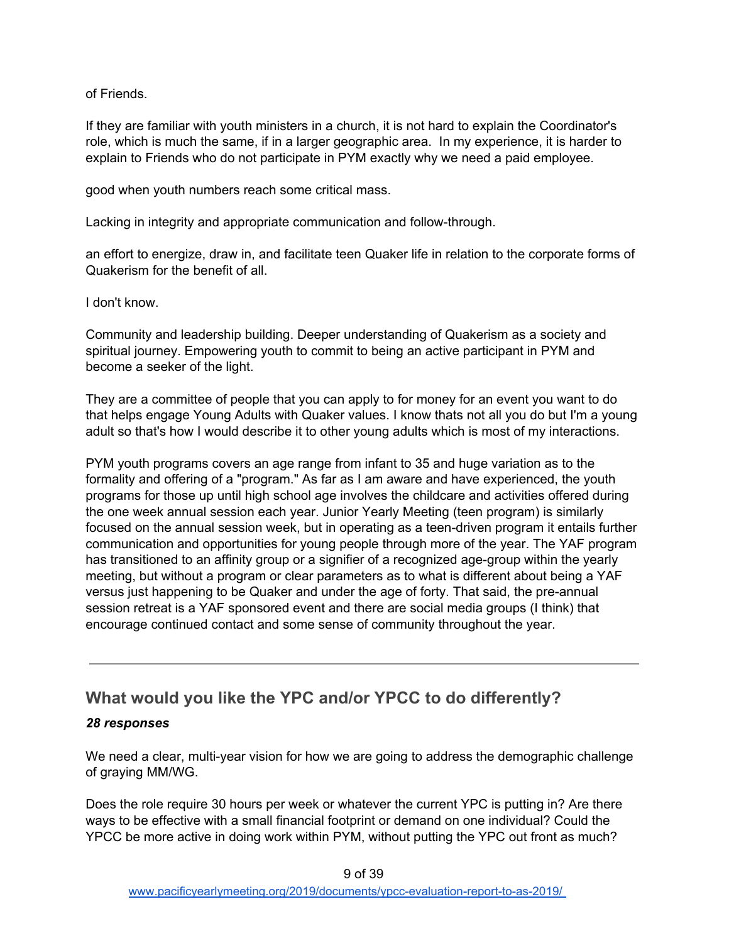of Friends.

If they are familiar with youth ministers in a church, it is not hard to explain the Coordinator's role, which is much the same, if in a larger geographic area. In my experience, it is harder to explain to Friends who do not participate in PYM exactly why we need a paid employee.

good when youth numbers reach some critical mass.

Lacking in integrity and appropriate communication and follow-through.

an effort to energize, draw in, and facilitate teen Quaker life in relation to the corporate forms of Quakerism for the benefit of all.

I don't know.

Community and leadership building. Deeper understanding of Quakerism as a society and spiritual journey. Empowering youth to commit to being an active participant in PYM and become a seeker of the light.

They are a committee of people that you can apply to for money for an event you want to do that helps engage Young Adults with Quaker values. I know thats not all you do but I'm a young adult so that's how I would describe it to other young adults which is most of my interactions.

PYM youth programs covers an age range from infant to 35 and huge variation as to the formality and offering of a "program." As far as I am aware and have experienced, the youth programs for those up until high school age involves the childcare and activities offered during the one week annual session each year. Junior Yearly Meeting (teen program) is similarly focused on the annual session week, but in operating as a teen-driven program it entails further communication and opportunities for young people through more of the year. The YAF program has transitioned to an affinity group or a signifier of a recognized age-group within the yearly meeting, but without a program or clear parameters as to what is different about being a YAF versus just happening to be Quaker and under the age of forty. That said, the pre-annual session retreat is a YAF sponsored event and there are social media groups (I think) that encourage continued contact and some sense of community throughout the year.

# <span id="page-8-0"></span>**What would you like the YPC and/or YPCC to do differently?**

### *28 responses*

We need a clear, multi-year vision for how we are going to address the demographic challenge of graying MM/WG.

Does the role require 30 hours per week or whatever the current YPC is putting in? Are there ways to be effective with a small financial footprint or demand on one individual? Could the YPCC be more active in doing work within PYM, without putting the YPC out front as much?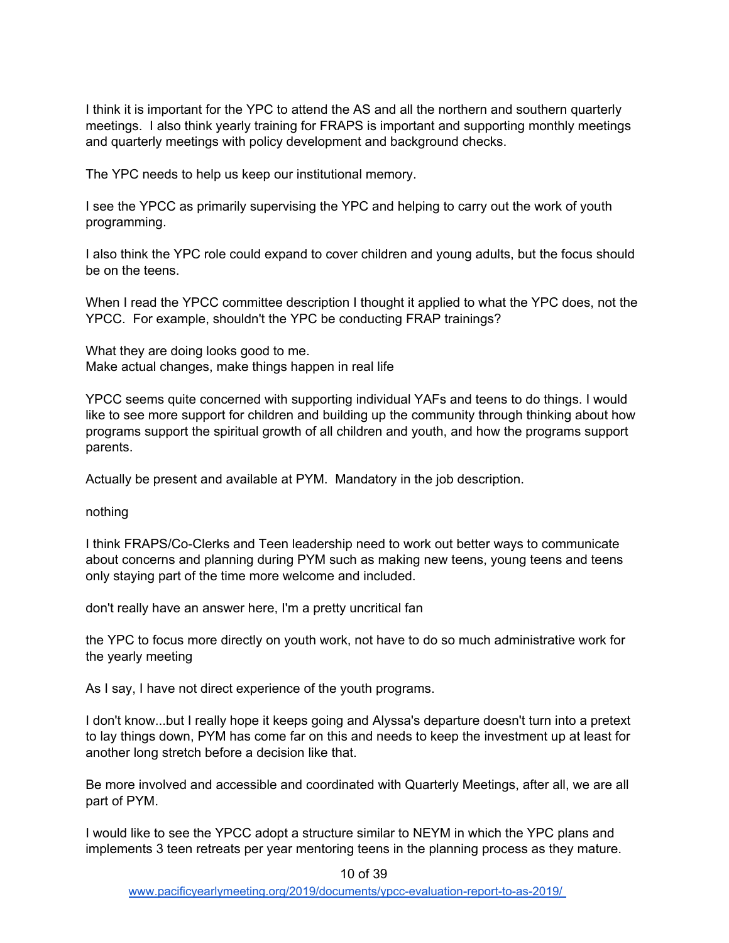I think it is important for the YPC to attend the AS and all the northern and southern quarterly meetings. I also think yearly training for FRAPS is important and supporting monthly meetings and quarterly meetings with policy development and background checks.

The YPC needs to help us keep our institutional memory.

I see the YPCC as primarily supervising the YPC and helping to carry out the work of youth programming.

I also think the YPC role could expand to cover children and young adults, but the focus should be on the teens.

When I read the YPCC committee description I thought it applied to what the YPC does, not the YPCC. For example, shouldn't the YPC be conducting FRAP trainings?

What they are doing looks good to me. Make actual changes, make things happen in real life

YPCC seems quite concerned with supporting individual YAFs and teens to do things. I would like to see more support for children and building up the community through thinking about how programs support the spiritual growth of all children and youth, and how the programs support parents.

Actually be present and available at PYM. Mandatory in the job description.

nothing

I think FRAPS/Co-Clerks and Teen leadership need to work out better ways to communicate about concerns and planning during PYM such as making new teens, young teens and teens only staying part of the time more welcome and included.

don't really have an answer here, I'm a pretty uncritical fan

the YPC to focus more directly on youth work, not have to do so much administrative work for the yearly meeting

As I say, I have not direct experience of the youth programs.

I don't know...but I really hope it keeps going and Alyssa's departure doesn't turn into a pretext to lay things down, PYM has come far on this and needs to keep the investment up at least for another long stretch before a decision like that.

Be more involved and accessible and coordinated with Quarterly Meetings, after all, we are all part of PYM.

I would like to see the YPCC adopt a structure similar to NEYM in which the YPC plans and implements 3 teen retreats per year mentoring teens in the planning process as they mature.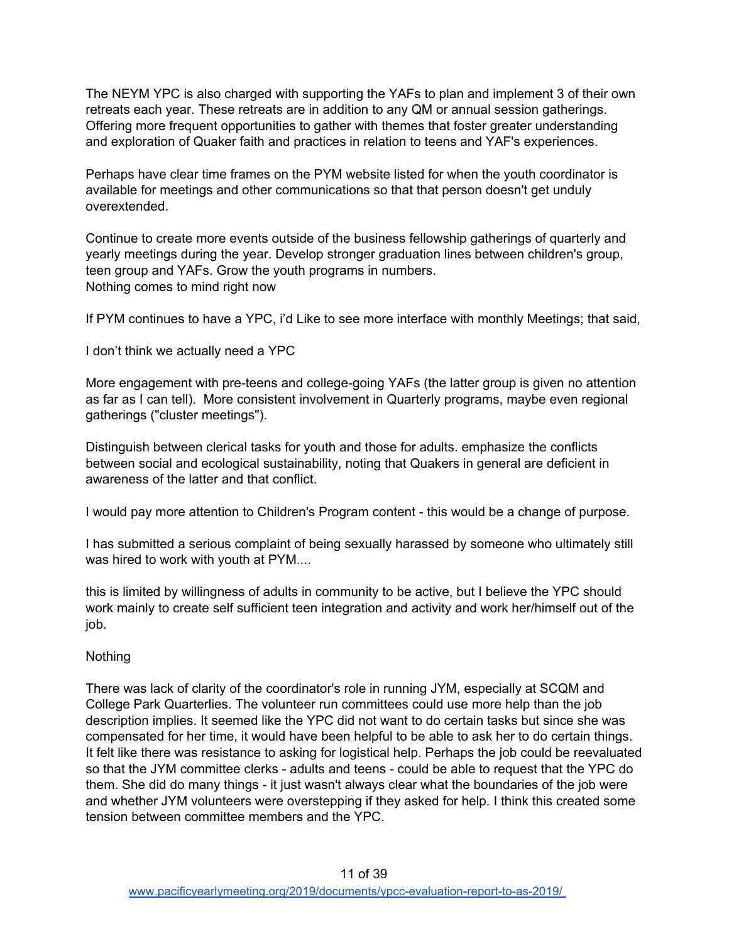The NEYM YPC is also charged with supporting the YAFs to plan and implement 3 of their own retreats each year. These retreats are in addition to any QM or annual session gatherings. Offering more frequent opportunities to gather with themes that foster greater understanding and exploration of Quaker faith and practices in relation to teens and YAF's experiences.

Perhaps have clear time frames on the PYM website listed for when the youth coordinator is available for meetings and other communications so that that person doesn't get unduly overextended.

Continue to create more events outside of the business fellowship gatherings of quarterly and yearly meetings during the year. Develop stronger graduation lines between children's group, teen group and YAFs. Grow the youth programs in numbers. Nothing comes to mind right now

If PYM continues to have a YPC, i'd Like to see more interface with monthly Meetings; that said,

I don't think we actually need a YPC

More engagement with pre-teens and college-going YAFs (the latter group is given no attention as far as I can tell). More consistent involvement in Quarterly programs, maybe even regional gatherings ("cluster meetings").

Distinguish between clerical tasks for youth and those for adults. emphasize the conflicts between social and ecological sustainability, noting that Quakers in general are deficient in awareness of the latter and that conflict.

I would pay more attention to Children's Program content - this would be a change of purpose.

I has submitted a serious complaint of being sexually harassed by someone who ultimately still was hired to work with youth at PYM....

this is limited by willingness of adults in community to be active, but I believe the YPC should work mainly to create self sufficient teen integration and activity and work her/himself out of the job.

### **Nothing**

There was lack of clarity of the coordinator's role in running JYM, especially at SCQM and College Park Quarterlies. The volunteer run committees could use more help than the job description implies. It seemed like the YPC did not want to do certain tasks but since she was compensated for her time, it would have been helpful to be able to ask her to do certain things. It felt like there was resistance to asking for logistical help. Perhaps the job could be reevaluated so that the JYM committee clerks - adults and teens - could be able to request that the YPC do them. She did do many things - it just wasn't always clear what the boundaries of the job were and whether JYM volunteers were overstepping if they asked for help. I think this created some tension between committee members and the YPC.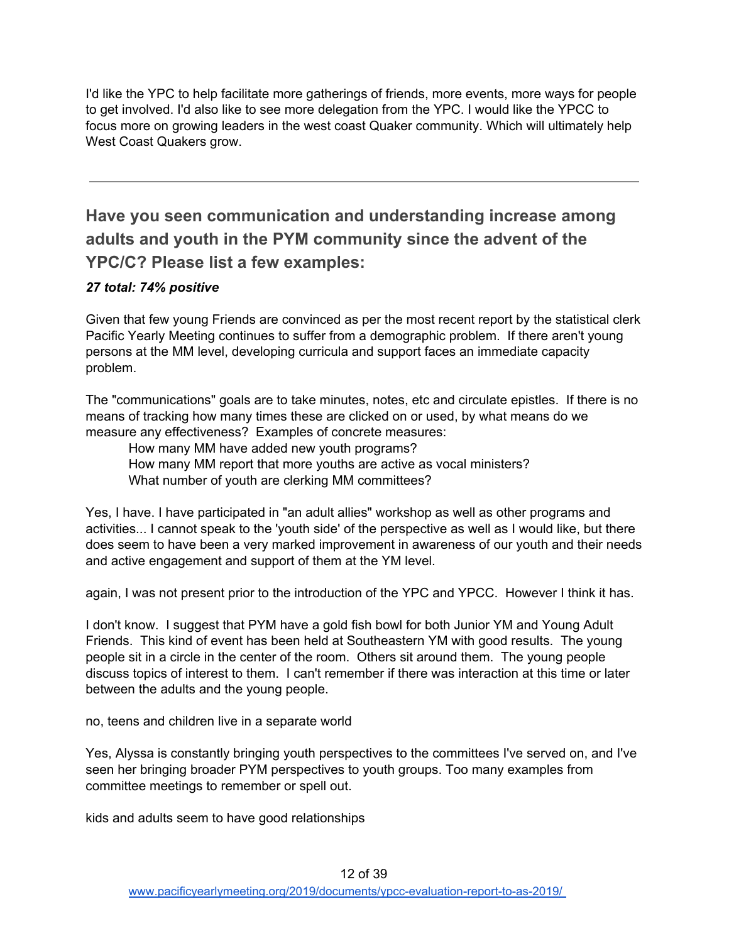I'd like the YPC to help facilitate more gatherings of friends, more events, more ways for people to get involved. I'd also like to see more delegation from the YPC. I would like the YPCC to focus more on growing leaders in the west coast Quaker community. Which will ultimately help West Coast Quakers grow.

<span id="page-11-0"></span>**Have you seen communication and understanding increase among adults and youth in the PYM community since the advent of the YPC/C? Please list a few examples:**

### *27 total: 74% positive*

Given that few young Friends are convinced as per the most recent report by the statistical clerk Pacific Yearly Meeting continues to suffer from a demographic problem. If there aren't young persons at the MM level, developing curricula and support faces an immediate capacity problem.

The "communications" goals are to take minutes, notes, etc and circulate epistles. If there is no means of tracking how many times these are clicked on or used, by what means do we measure any effectiveness? Examples of concrete measures:

How many MM have added new youth programs?

How many MM report that more youths are active as vocal ministers?

What number of youth are clerking MM committees?

Yes, I have. I have participated in "an adult allies" workshop as well as other programs and activities... I cannot speak to the 'youth side' of the perspective as well as I would like, but there does seem to have been a very marked improvement in awareness of our youth and their needs and active engagement and support of them at the YM level.

again, I was not present prior to the introduction of the YPC and YPCC. However I think it has.

I don't know. I suggest that PYM have a gold fish bowl for both Junior YM and Young Adult Friends. This kind of event has been held at Southeastern YM with good results. The young people sit in a circle in the center of the room. Others sit around them. The young people discuss topics of interest to them. I can't remember if there was interaction at this time or later between the adults and the young people.

no, teens and children live in a separate world

Yes, Alyssa is constantly bringing youth perspectives to the committees I've served on, and I've seen her bringing broader PYM perspectives to youth groups. Too many examples from committee meetings to remember or spell out.

kids and adults seem to have good relationships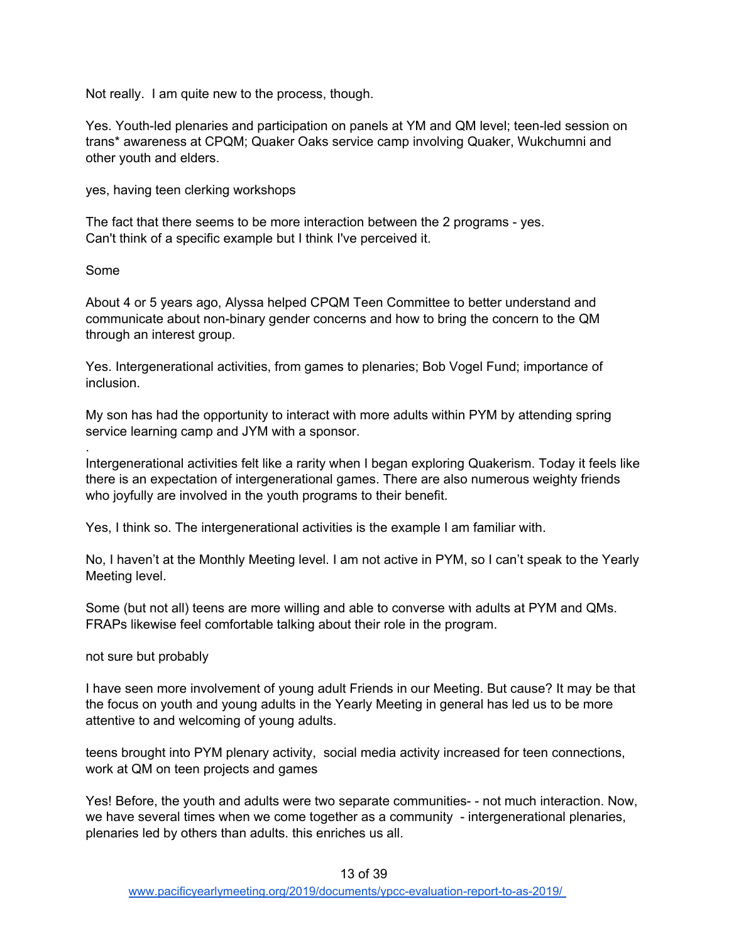Not really. I am quite new to the process, though.

Yes. Youth-led plenaries and participation on panels at YM and QM level; teen-led session on trans\* awareness at CPQM; Quaker Oaks service camp involving Quaker, Wukchumni and other youth and elders.

yes, having teen clerking workshops

The fact that there seems to be more interaction between the 2 programs - yes. Can't think of a specific example but I think I've perceived it.

Some

.

About 4 or 5 years ago, Alyssa helped CPQM Teen Committee to better understand and communicate about non-binary gender concerns and how to bring the concern to the QM through an interest group.

Yes. Intergenerational activities, from games to plenaries; Bob Vogel Fund; importance of inclusion.

My son has had the opportunity to interact with more adults within PYM by attending spring service learning camp and JYM with a sponsor.

Intergenerational activities felt like a rarity when I began exploring Quakerism. Today it feels like there is an expectation of intergenerational games. There are also numerous weighty friends who joyfully are involved in the youth programs to their benefit.

Yes, I think so. The intergenerational activities is the example I am familiar with.

No, I haven't at the Monthly Meeting level. I am not active in PYM, so I can't speak to the Yearly Meeting level.

Some (but not all) teens are more willing and able to converse with adults at PYM and QMs. FRAPs likewise feel comfortable talking about their role in the program.

not sure but probably

I have seen more involvement of young adult Friends in our Meeting. But cause? It may be that the focus on youth and young adults in the Yearly Meeting in general has led us to be more attentive to and welcoming of young adults.

teens brought into PYM plenary activity, social media activity increased for teen connections, work at QM on teen projects and games

Yes! Before, the youth and adults were two separate communities- - not much interaction. Now, we have several times when we come together as a community - intergenerational plenaries, plenaries led by others than adults. this enriches us all.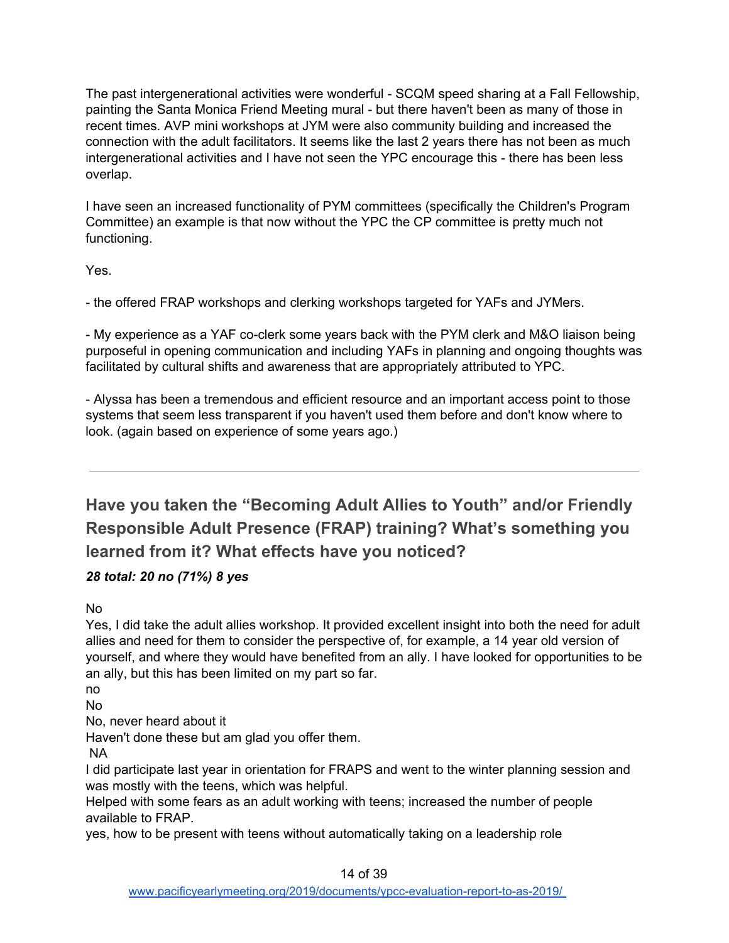The past intergenerational activities were wonderful - SCQM speed sharing at a Fall Fellowship, painting the Santa Monica Friend Meeting mural - but there haven't been as many of those in recent times. AVP mini workshops at JYM were also community building and increased the connection with the adult facilitators. It seems like the last 2 years there has not been as much intergenerational activities and I have not seen the YPC encourage this - there has been less overlap.

I have seen an increased functionality of PYM committees (specifically the Children's Program Committee) an example is that now without the YPC the CP committee is pretty much not functioning.

Yes.

- the offered FRAP workshops and clerking workshops targeted for YAFs and JYMers.

- My experience as a YAF co-clerk some years back with the PYM clerk and M&O liaison being purposeful in opening communication and including YAFs in planning and ongoing thoughts was facilitated by cultural shifts and awareness that are appropriately attributed to YPC.

- Alyssa has been a tremendous and efficient resource and an important access point to those systems that seem less transparent if you haven't used them before and don't know where to look. (again based on experience of some years ago.)

<span id="page-13-0"></span>**Have you taken the "Becoming Adult Allies to Youth" and/or Friendly Responsible Adult Presence (FRAP) training? What's something you learned from it? What effects have you noticed?**

## *28 total: 20 no (71%) 8 yes*

No

Yes, I did take the adult allies workshop. It provided excellent insight into both the need for adult allies and need for them to consider the perspective of, for example, a 14 year old version of yourself, and where they would have benefited from an ally. I have looked for opportunities to be an ally, but this has been limited on my part so far.

no

No

No, never heard about it

Haven't done these but am glad you offer them.

NA

I did participate last year in orientation for FRAPS and went to the winter planning session and was mostly with the teens, which was helpful.

Helped with some fears as an adult working with teens; increased the number of people available to FRAP.

yes, how to be present with teens without automatically taking on a leadership role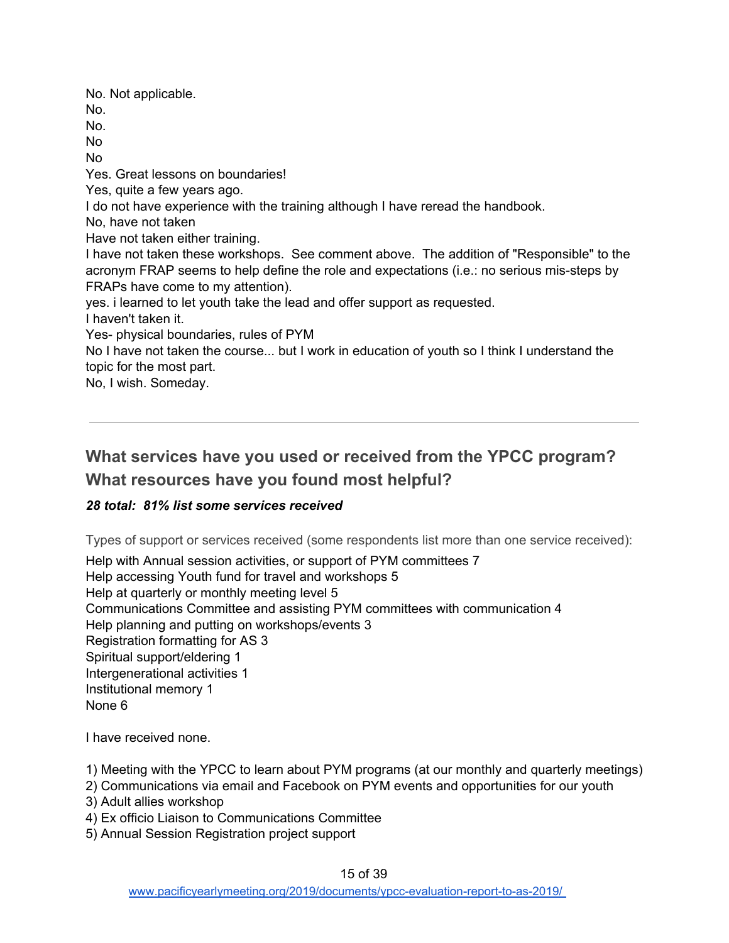No. Not applicable. No. No. No No Yes. Great lessons on boundaries! Yes, quite a few years ago. I do not have experience with the training although I have reread the handbook. No, have not taken Have not taken either training. I have not taken these workshops. See comment above. The addition of "Responsible" to the acronym FRAP seems to help define the role and expectations (i.e.: no serious mis-steps by FRAPs have come to my attention). yes. i learned to let youth take the lead and offer support as requested. I haven't taken it. Yes- physical boundaries, rules of PYM No I have not taken the course... but I work in education of youth so I think I understand the topic for the most part.

No, I wish. Someday.

# <span id="page-14-0"></span>**What services have you used or received from the YPCC program? What resources have you found most helpful?**

## <span id="page-14-1"></span>*28 total: 81% list some services received*

Types of support or services received (some respondents list more than one service received):

Help with Annual session activities, or support of PYM committees 7 Help accessing Youth fund for travel and workshops 5 Help at quarterly or monthly meeting level 5 Communications Committee and assisting PYM committees with communication 4 Help planning and putting on workshops/events 3 Registration formatting for AS 3 Spiritual support/eldering 1 Intergenerational activities 1 Institutional memory 1 None 6

I have received none.

1) Meeting with the YPCC to learn about PYM programs (at our monthly and quarterly meetings)

- 2) Communications via email and Facebook on PYM events and opportunities for our youth
- 3) Adult allies workshop
- 4) Ex officio Liaison to Communications Committee
- 5) Annual Session Registration project support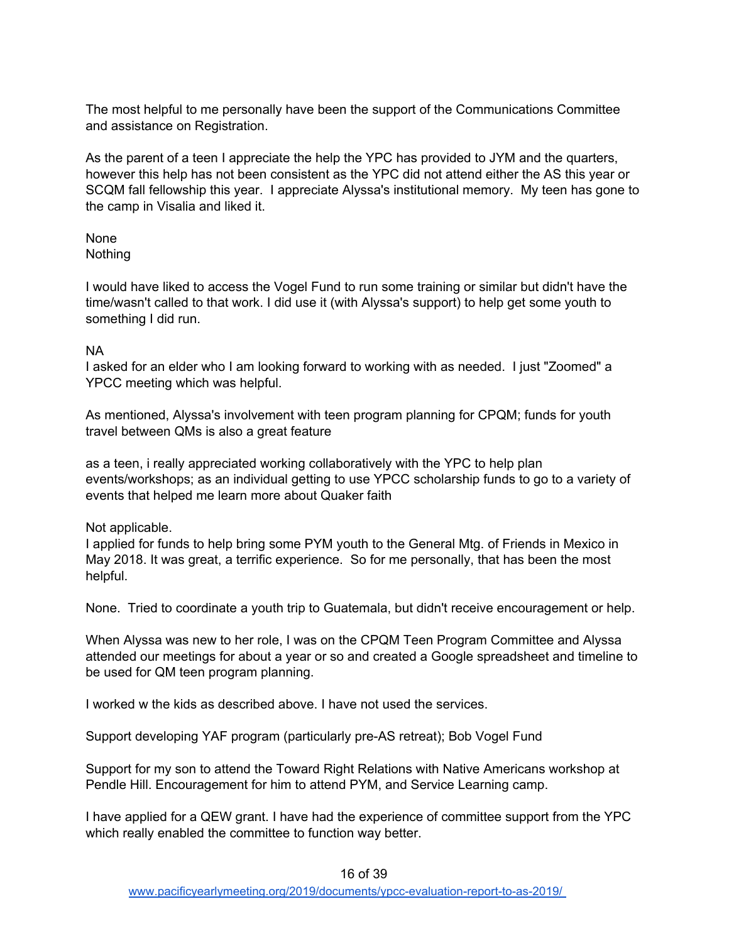The most helpful to me personally have been the support of the Communications Committee and assistance on Registration.

As the parent of a teen I appreciate the help the YPC has provided to JYM and the quarters, however this help has not been consistent as the YPC did not attend either the AS this year or SCQM fall fellowship this year. I appreciate Alyssa's institutional memory. My teen has gone to the camp in Visalia and liked it.

None Nothing

I would have liked to access the Vogel Fund to run some training or similar but didn't have the time/wasn't called to that work. I did use it (with Alyssa's support) to help get some youth to something I did run.

#### NA

I asked for an elder who I am looking forward to working with as needed. I just "Zoomed" a YPCC meeting which was helpful.

As mentioned, Alyssa's involvement with teen program planning for CPQM; funds for youth travel between QMs is also a great feature

as a teen, i really appreciated working collaboratively with the YPC to help plan events/workshops; as an individual getting to use YPCC scholarship funds to go to a variety of events that helped me learn more about Quaker faith

#### Not applicable.

I applied for funds to help bring some PYM youth to the General Mtg. of Friends in Mexico in May 2018. It was great, a terrific experience. So for me personally, that has been the most helpful.

None. Tried to coordinate a youth trip to Guatemala, but didn't receive encouragement or help.

When Alyssa was new to her role, I was on the CPQM Teen Program Committee and Alyssa attended our meetings for about a year or so and created a Google spreadsheet and timeline to be used for QM teen program planning.

I worked w the kids as described above. I have not used the services.

Support developing YAF program (particularly pre-AS retreat); Bob Vogel Fund

Support for my son to attend the Toward Right Relations with Native Americans workshop at Pendle Hill. Encouragement for him to attend PYM, and Service Learning camp.

I have applied for a QEW grant. I have had the experience of committee support from the YPC which really enabled the committee to function way better.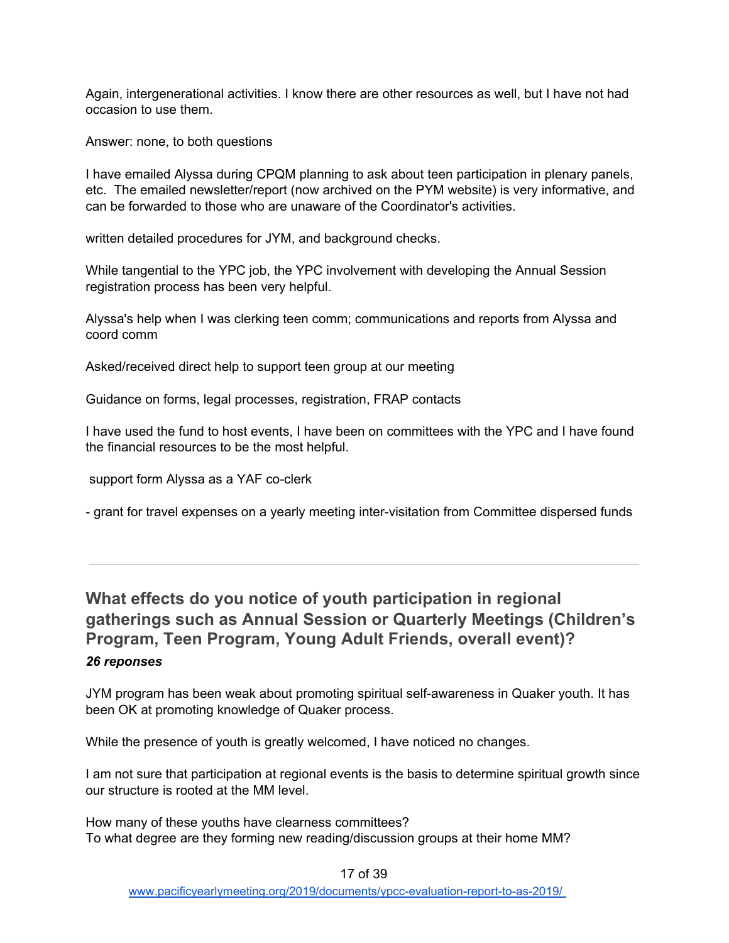Again, intergenerational activities. I know there are other resources as well, but I have not had occasion to use them.

Answer: none, to both questions

I have emailed Alyssa during CPQM planning to ask about teen participation in plenary panels, etc. The emailed newsletter/report (now archived on the PYM website) is very informative, and can be forwarded to those who are unaware of the Coordinator's activities.

written detailed procedures for JYM, and background checks.

While tangential to the YPC job, the YPC involvement with developing the Annual Session registration process has been very helpful.

Alyssa's help when I was clerking teen comm; communications and reports from Alyssa and coord comm

Asked/received direct help to support teen group at our meeting

Guidance on forms, legal processes, registration, FRAP contacts

I have used the fund to host events, I have been on committees with the YPC and I have found the financial resources to be the most helpful.

support form Alyssa as a YAF co-clerk

- grant for travel expenses on a yearly meeting inter-visitation from Committee dispersed funds

<span id="page-16-0"></span>**What effects do you notice of youth participation in regional gatherings such as Annual Session or Quarterly Meetings (Children's Program, Teen Program, Young Adult Friends, overall event)?** *26 reponses*

JYM program has been weak about promoting spiritual self-awareness in Quaker youth. It has been OK at promoting knowledge of Quaker process.

While the presence of youth is greatly welcomed, I have noticed no changes.

I am not sure that participation at regional events is the basis to determine spiritual growth since our structure is rooted at the MM level.

How many of these youths have clearness committees? To what degree are they forming new reading/discussion groups at their home MM?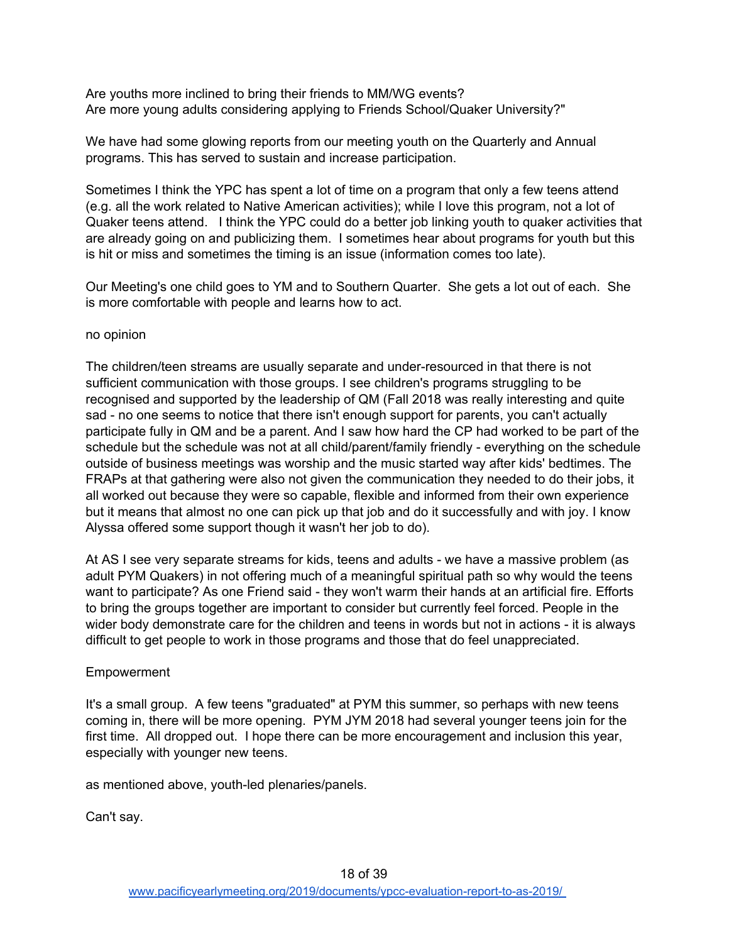Are youths more inclined to bring their friends to MM/WG events? Are more young adults considering applying to Friends School/Quaker University?"

We have had some glowing reports from our meeting youth on the Quarterly and Annual programs. This has served to sustain and increase participation.

Sometimes I think the YPC has spent a lot of time on a program that only a few teens attend (e.g. all the work related to Native American activities); while I love this program, not a lot of Quaker teens attend. I think the YPC could do a better job linking youth to quaker activities that are already going on and publicizing them. I sometimes hear about programs for youth but this is hit or miss and sometimes the timing is an issue (information comes too late).

Our Meeting's one child goes to YM and to Southern Quarter. She gets a lot out of each. She is more comfortable with people and learns how to act.

#### no opinion

The children/teen streams are usually separate and under-resourced in that there is not sufficient communication with those groups. I see children's programs struggling to be recognised and supported by the leadership of QM (Fall 2018 was really interesting and quite sad - no one seems to notice that there isn't enough support for parents, you can't actually participate fully in QM and be a parent. And I saw how hard the CP had worked to be part of the schedule but the schedule was not at all child/parent/family friendly - everything on the schedule outside of business meetings was worship and the music started way after kids' bedtimes. The FRAPs at that gathering were also not given the communication they needed to do their jobs, it all worked out because they were so capable, flexible and informed from their own experience but it means that almost no one can pick up that job and do it successfully and with joy. I know Alyssa offered some support though it wasn't her job to do).

At AS I see very separate streams for kids, teens and adults - we have a massive problem (as adult PYM Quakers) in not offering much of a meaningful spiritual path so why would the teens want to participate? As one Friend said - they won't warm their hands at an artificial fire. Efforts to bring the groups together are important to consider but currently feel forced. People in the wider body demonstrate care for the children and teens in words but not in actions - it is always difficult to get people to work in those programs and those that do feel unappreciated.

#### Empowerment

It's a small group. A few teens "graduated" at PYM this summer, so perhaps with new teens coming in, there will be more opening. PYM JYM 2018 had several younger teens join for the first time. All dropped out. I hope there can be more encouragement and inclusion this year, especially with younger new teens.

as mentioned above, youth-led plenaries/panels.

Can't say.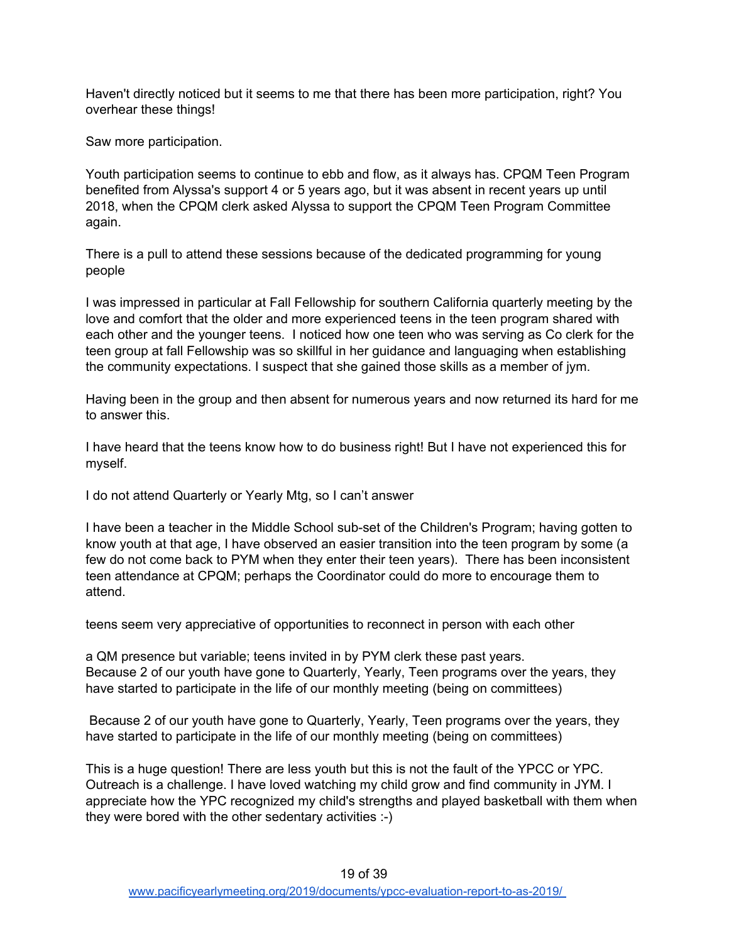Haven't directly noticed but it seems to me that there has been more participation, right? You overhear these things!

Saw more participation.

Youth participation seems to continue to ebb and flow, as it always has. CPQM Teen Program benefited from Alyssa's support 4 or 5 years ago, but it was absent in recent years up until 2018, when the CPQM clerk asked Alyssa to support the CPQM Teen Program Committee again.

There is a pull to attend these sessions because of the dedicated programming for young people

I was impressed in particular at Fall Fellowship for southern California quarterly meeting by the love and comfort that the older and more experienced teens in the teen program shared with each other and the younger teens. I noticed how one teen who was serving as Co clerk for the teen group at fall Fellowship was so skillful in her guidance and languaging when establishing the community expectations. I suspect that she gained those skills as a member of jym.

Having been in the group and then absent for numerous years and now returned its hard for me to answer this.

I have heard that the teens know how to do business right! But I have not experienced this for myself.

I do not attend Quarterly or Yearly Mtg, so I can't answer

I have been a teacher in the Middle School sub-set of the Children's Program; having gotten to know youth at that age, I have observed an easier transition into the teen program by some (a few do not come back to PYM when they enter their teen years). There has been inconsistent teen attendance at CPQM; perhaps the Coordinator could do more to encourage them to attend.

teens seem very appreciative of opportunities to reconnect in person with each other

a QM presence but variable; teens invited in by PYM clerk these past years. Because 2 of our youth have gone to Quarterly, Yearly, Teen programs over the years, they have started to participate in the life of our monthly meeting (being on committees)

Because 2 of our youth have gone to Quarterly, Yearly, Teen programs over the years, they have started to participate in the life of our monthly meeting (being on committees)

This is a huge question! There are less youth but this is not the fault of the YPCC or YPC. Outreach is a challenge. I have loved watching my child grow and find community in JYM. I appreciate how the YPC recognized my child's strengths and played basketball with them when they were bored with the other sedentary activities :-)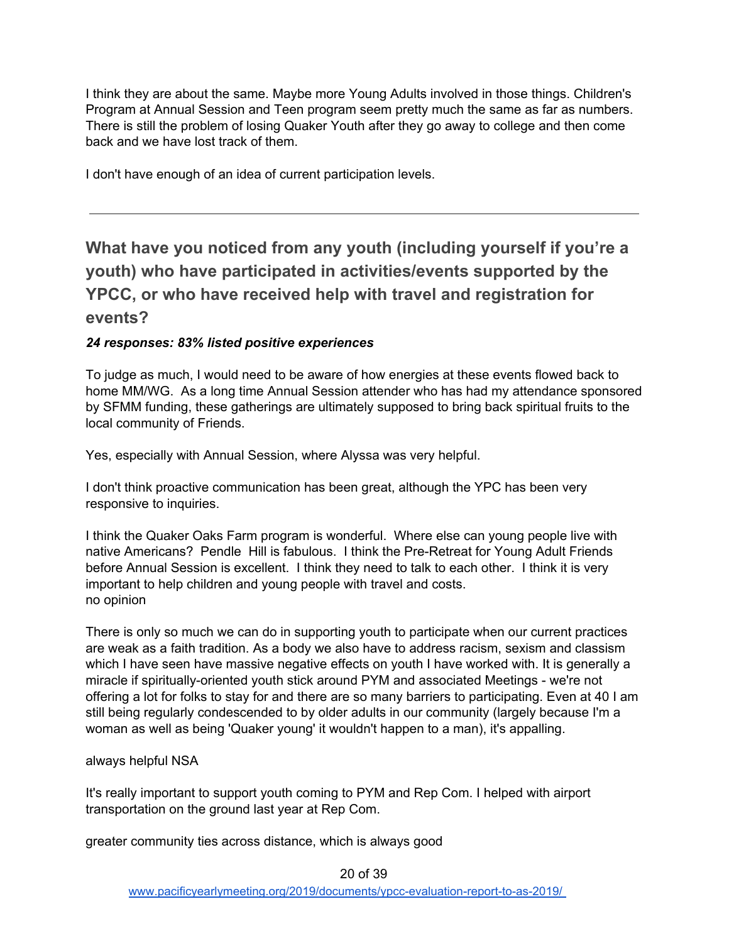I think they are about the same. Maybe more Young Adults involved in those things. Children's Program at Annual Session and Teen program seem pretty much the same as far as numbers. There is still the problem of losing Quaker Youth after they go away to college and then come back and we have lost track of them.

I don't have enough of an idea of current participation levels.

# <span id="page-19-0"></span>**What have you noticed from any youth (including yourself if you're a youth) who have participated in activities/events supported by the YPCC, or who have received help with travel and registration for events?**

#### *24 responses: 83% listed positive experiences*

To judge as much, I would need to be aware of how energies at these events flowed back to home MM/WG. As a long time Annual Session attender who has had my attendance sponsored by SFMM funding, these gatherings are ultimately supposed to bring back spiritual fruits to the local community of Friends.

Yes, especially with Annual Session, where Alyssa was very helpful.

I don't think proactive communication has been great, although the YPC has been very responsive to inquiries.

I think the Quaker Oaks Farm program is wonderful. Where else can young people live with native Americans? Pendle Hill is fabulous. I think the Pre-Retreat for Young Adult Friends before Annual Session is excellent. I think they need to talk to each other. I think it is very important to help children and young people with travel and costs. no opinion

There is only so much we can do in supporting youth to participate when our current practices are weak as a faith tradition. As a body we also have to address racism, sexism and classism which I have seen have massive negative effects on youth I have worked with. It is generally a miracle if spiritually-oriented youth stick around PYM and associated Meetings - we're not offering a lot for folks to stay for and there are so many barriers to participating. Even at 40 I am still being regularly condescended to by older adults in our community (largely because I'm a woman as well as being 'Quaker young' it wouldn't happen to a man), it's appalling.

#### always helpful NSA

It's really important to support youth coming to PYM and Rep Com. I helped with airport transportation on the ground last year at Rep Com.

greater community ties across distance, which is always good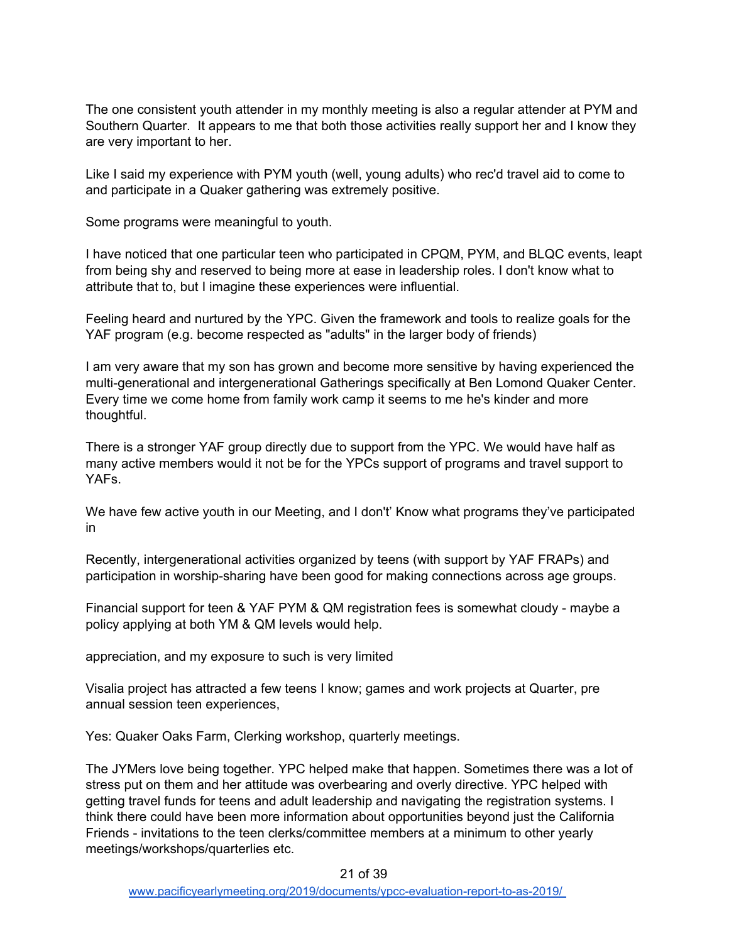The one consistent youth attender in my monthly meeting is also a regular attender at PYM and Southern Quarter. It appears to me that both those activities really support her and I know they are very important to her.

Like I said my experience with PYM youth (well, young adults) who rec'd travel aid to come to and participate in a Quaker gathering was extremely positive.

Some programs were meaningful to youth.

I have noticed that one particular teen who participated in CPQM, PYM, and BLQC events, leapt from being shy and reserved to being more at ease in leadership roles. I don't know what to attribute that to, but I imagine these experiences were influential.

Feeling heard and nurtured by the YPC. Given the framework and tools to realize goals for the YAF program (e.g. become respected as "adults" in the larger body of friends)

I am very aware that my son has grown and become more sensitive by having experienced the multi-generational and intergenerational Gatherings specifically at Ben Lomond Quaker Center. Every time we come home from family work camp it seems to me he's kinder and more thoughtful.

There is a stronger YAF group directly due to support from the YPC. We would have half as many active members would it not be for the YPCs support of programs and travel support to YAFs.

We have few active youth in our Meeting, and I don't' Know what programs they've participated in

Recently, intergenerational activities organized by teens (with support by YAF FRAPs) and participation in worship-sharing have been good for making connections across age groups.

Financial support for teen & YAF PYM & QM registration fees is somewhat cloudy - maybe a policy applying at both YM & QM levels would help.

appreciation, and my exposure to such is very limited

Visalia project has attracted a few teens I know; games and work projects at Quarter, pre annual session teen experiences,

Yes: Quaker Oaks Farm, Clerking workshop, quarterly meetings.

The JYMers love being together. YPC helped make that happen. Sometimes there was a lot of stress put on them and her attitude was overbearing and overly directive. YPC helped with getting travel funds for teens and adult leadership and navigating the registration systems. I think there could have been more information about opportunities beyond just the California Friends - invitations to the teen clerks/committee members at a minimum to other yearly meetings/workshops/quarterlies etc.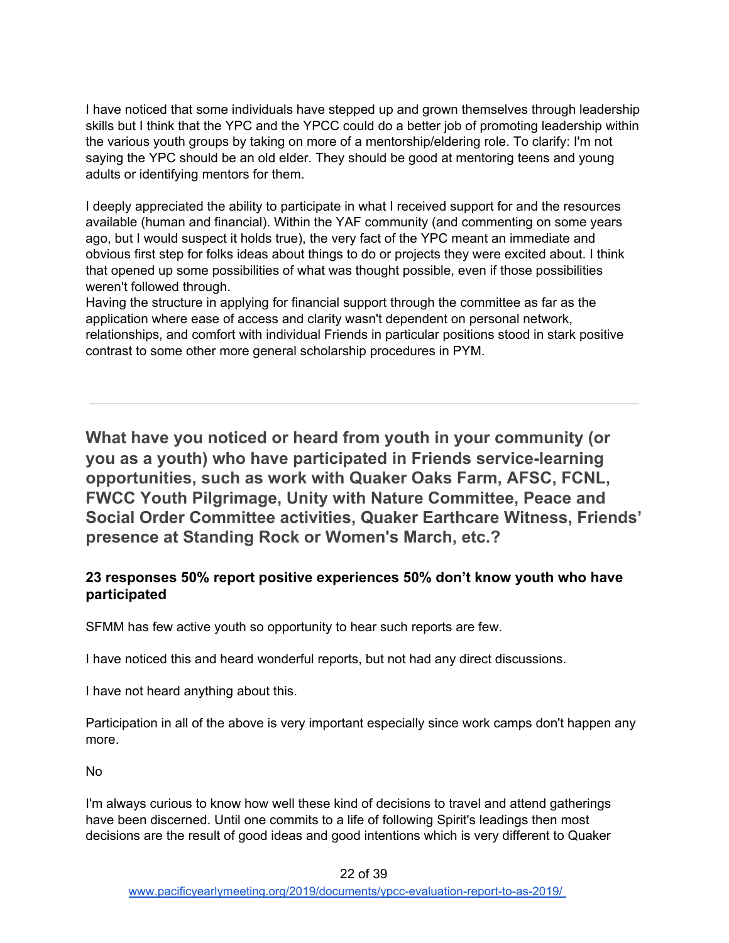I have noticed that some individuals have stepped up and grown themselves through leadership skills but I think that the YPC and the YPCC could do a better job of promoting leadership within the various youth groups by taking on more of a mentorship/eldering role. To clarify: I'm not saying the YPC should be an old elder. They should be good at mentoring teens and young adults or identifying mentors for them.

I deeply appreciated the ability to participate in what I received support for and the resources available (human and financial). Within the YAF community (and commenting on some years ago, but I would suspect it holds true), the very fact of the YPC meant an immediate and obvious first step for folks ideas about things to do or projects they were excited about. I think that opened up some possibilities of what was thought possible, even if those possibilities weren't followed through.

Having the structure in applying for financial support through the committee as far as the application where ease of access and clarity wasn't dependent on personal network, relationships, and comfort with individual Friends in particular positions stood in stark positive contrast to some other more general scholarship procedures in PYM.

<span id="page-21-0"></span>**What have you noticed or heard from youth in your community (or you as a youth) who have participated in Friends service-learning opportunities, such as work with Quaker Oaks Farm, AFSC, FCNL, FWCC Youth Pilgrimage, Unity with Nature Committee, Peace and Social Order Committee activities, Quaker Earthcare Witness, Friends' presence at Standing Rock or Women's March, etc.?**

### **23 responses 50% report positive experiences 50% don't know youth who have participated**

SFMM has few active youth so opportunity to hear such reports are few.

I have noticed this and heard wonderful reports, but not had any direct discussions.

I have not heard anything about this.

Participation in all of the above is very important especially since work camps don't happen any more.

No

I'm always curious to know how well these kind of decisions to travel and attend gatherings have been discerned. Until one commits to a life of following Spirit's leadings then most decisions are the result of good ideas and good intentions which is very different to Quaker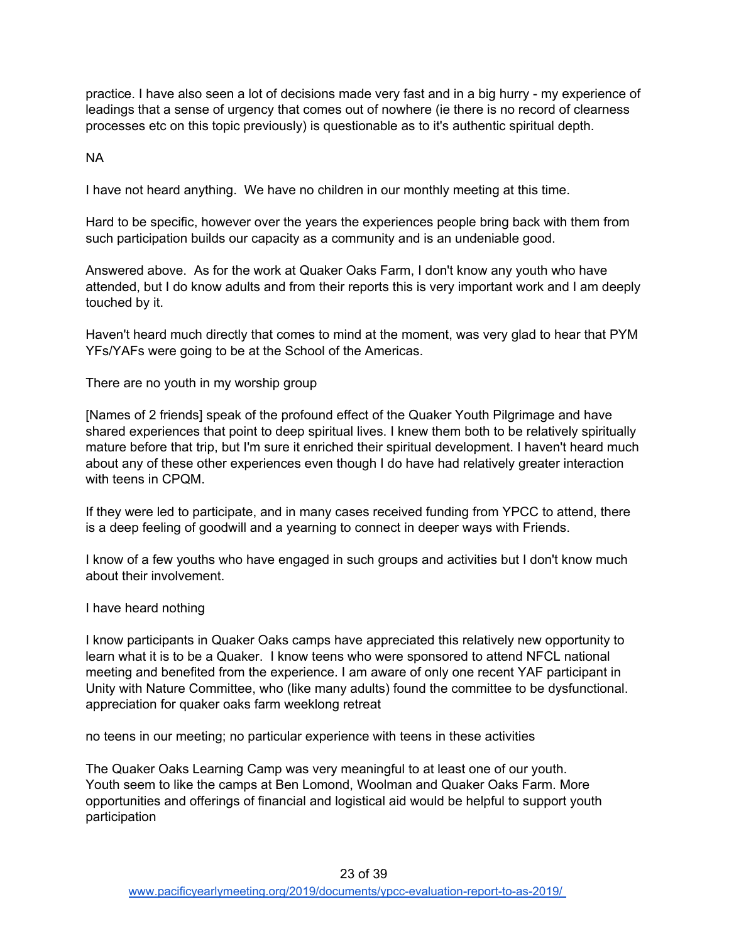practice. I have also seen a lot of decisions made very fast and in a big hurry - my experience of leadings that a sense of urgency that comes out of nowhere (ie there is no record of clearness processes etc on this topic previously) is questionable as to it's authentic spiritual depth.

NA

I have not heard anything. We have no children in our monthly meeting at this time.

Hard to be specific, however over the years the experiences people bring back with them from such participation builds our capacity as a community and is an undeniable good.

Answered above. As for the work at Quaker Oaks Farm, I don't know any youth who have attended, but I do know adults and from their reports this is very important work and I am deeply touched by it.

Haven't heard much directly that comes to mind at the moment, was very glad to hear that PYM YFs/YAFs were going to be at the School of the Americas.

There are no youth in my worship group

[Names of 2 friends] speak of the profound effect of the Quaker Youth Pilgrimage and have shared experiences that point to deep spiritual lives. I knew them both to be relatively spiritually mature before that trip, but I'm sure it enriched their spiritual development. I haven't heard much about any of these other experiences even though I do have had relatively greater interaction with teens in CPQM.

If they were led to participate, and in many cases received funding from YPCC to attend, there is a deep feeling of goodwill and a yearning to connect in deeper ways with Friends.

I know of a few youths who have engaged in such groups and activities but I don't know much about their involvement.

I have heard nothing

I know participants in Quaker Oaks camps have appreciated this relatively new opportunity to learn what it is to be a Quaker. I know teens who were sponsored to attend NFCL national meeting and benefited from the experience. I am aware of only one recent YAF participant in Unity with Nature Committee, who (like many adults) found the committee to be dysfunctional. appreciation for quaker oaks farm weeklong retreat

no teens in our meeting; no particular experience with teens in these activities

The Quaker Oaks Learning Camp was very meaningful to at least one of our youth. Youth seem to like the camps at Ben Lomond, Woolman and Quaker Oaks Farm. More opportunities and offerings of financial and logistical aid would be helpful to support youth participation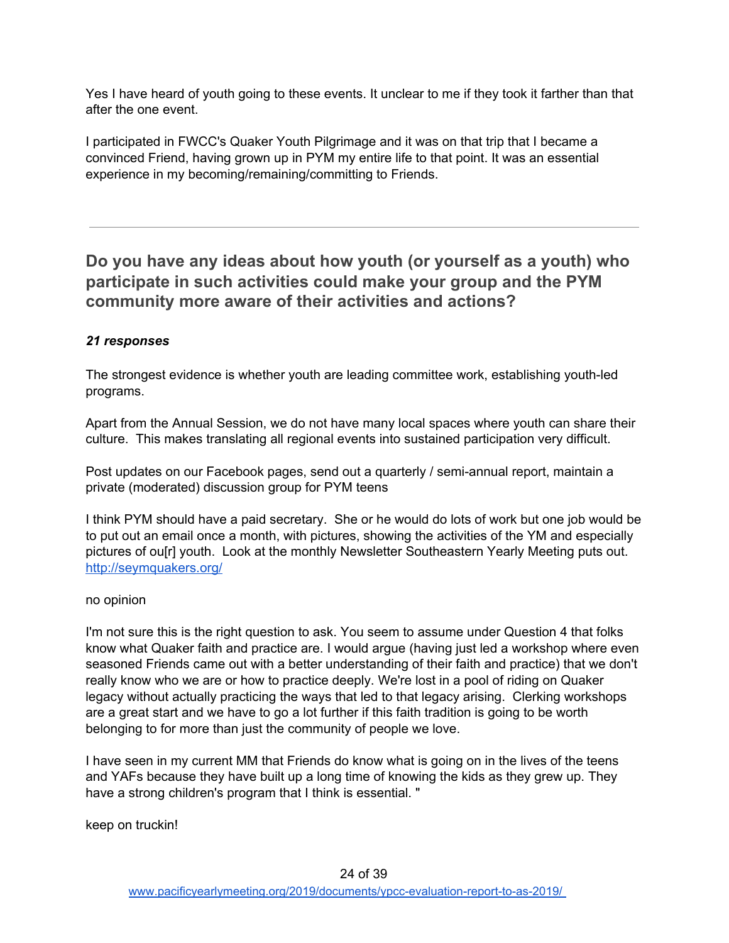Yes I have heard of youth going to these events. It unclear to me if they took it farther than that after the one event.

I participated in FWCC's Quaker Youth Pilgrimage and it was on that trip that I became a convinced Friend, having grown up in PYM my entire life to that point. It was an essential experience in my becoming/remaining/committing to Friends.

# <span id="page-23-0"></span>**Do you have any ideas about how youth (or yourself as a youth) who participate in such activities could make your group and the PYM community more aware of their activities and actions?**

#### *21 responses*

The strongest evidence is whether youth are leading committee work, establishing youth-led programs.

Apart from the Annual Session, we do not have many local spaces where youth can share their culture. This makes translating all regional events into sustained participation very difficult.

Post updates on our Facebook pages, send out a quarterly / semi-annual report, maintain a private (moderated) discussion group for PYM teens

I think PYM should have a paid secretary. She or he would do lots of work but one job would be to put out an email once a month, with pictures, showing the activities of the YM and especially pictures of ou[r] youth. Look at the monthly Newsletter Southeastern Yearly Meeting puts out. <http://seymquakers.org/>

#### no opinion

I'm not sure this is the right question to ask. You seem to assume under Question 4 that folks know what Quaker faith and practice are. I would argue (having just led a workshop where even seasoned Friends came out with a better understanding of their faith and practice) that we don't really know who we are or how to practice deeply. We're lost in a pool of riding on Quaker legacy without actually practicing the ways that led to that legacy arising. Clerking workshops are a great start and we have to go a lot further if this faith tradition is going to be worth belonging to for more than just the community of people we love.

I have seen in my current MM that Friends do know what is going on in the lives of the teens and YAFs because they have built up a long time of knowing the kids as they grew up. They have a strong children's program that I think is essential. "

keep on truckin!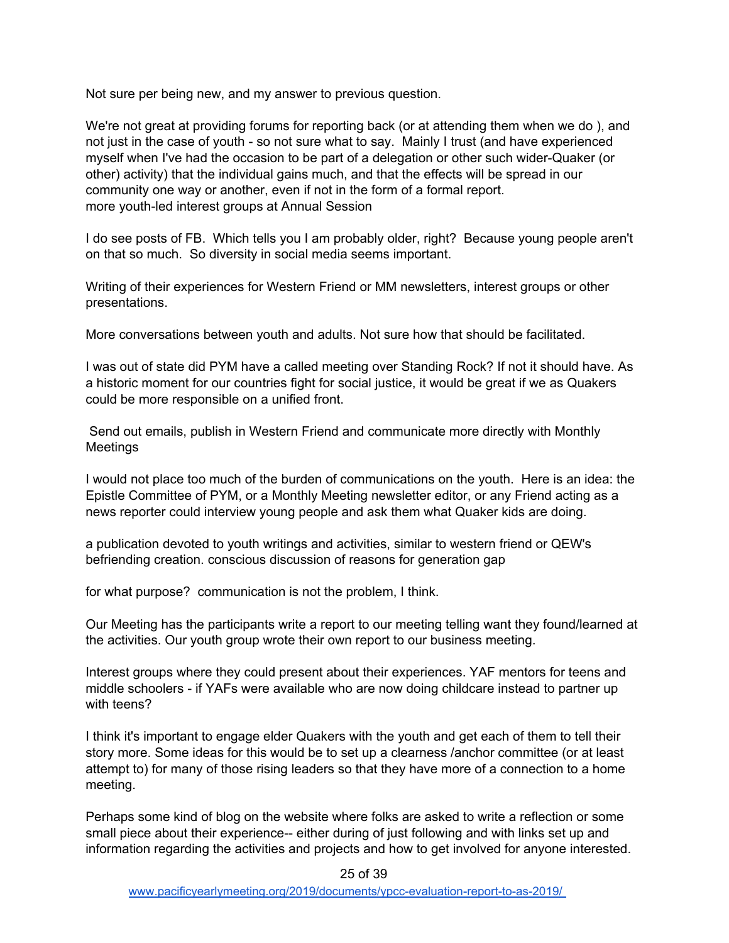Not sure per being new, and my answer to previous question.

We're not great at providing forums for reporting back (or at attending them when we do ), and not just in the case of youth - so not sure what to say. Mainly I trust (and have experienced myself when I've had the occasion to be part of a delegation or other such wider-Quaker (or other) activity) that the individual gains much, and that the effects will be spread in our community one way or another, even if not in the form of a formal report. more youth-led interest groups at Annual Session

I do see posts of FB. Which tells you I am probably older, right? Because young people aren't on that so much. So diversity in social media seems important.

Writing of their experiences for Western Friend or MM newsletters, interest groups or other presentations.

More conversations between youth and adults. Not sure how that should be facilitated.

I was out of state did PYM have a called meeting over Standing Rock? If not it should have. As a historic moment for our countries fight for social justice, it would be great if we as Quakers could be more responsible on a unified front.

Send out emails, publish in Western Friend and communicate more directly with Monthly Meetings

I would not place too much of the burden of communications on the youth. Here is an idea: the Epistle Committee of PYM, or a Monthly Meeting newsletter editor, or any Friend acting as a news reporter could interview young people and ask them what Quaker kids are doing.

a publication devoted to youth writings and activities, similar to western friend or QEW's befriending creation. conscious discussion of reasons for generation gap

for what purpose? communication is not the problem, I think.

Our Meeting has the participants write a report to our meeting telling want they found/learned at the activities. Our youth group wrote their own report to our business meeting.

Interest groups where they could present about their experiences. YAF mentors for teens and middle schoolers - if YAFs were available who are now doing childcare instead to partner up with teens?

I think it's important to engage elder Quakers with the youth and get each of them to tell their story more. Some ideas for this would be to set up a clearness /anchor committee (or at least attempt to) for many of those rising leaders so that they have more of a connection to a home meeting.

Perhaps some kind of blog on the website where folks are asked to write a reflection or some small piece about their experience-- either during of just following and with links set up and information regarding the activities and projects and how to get involved for anyone interested.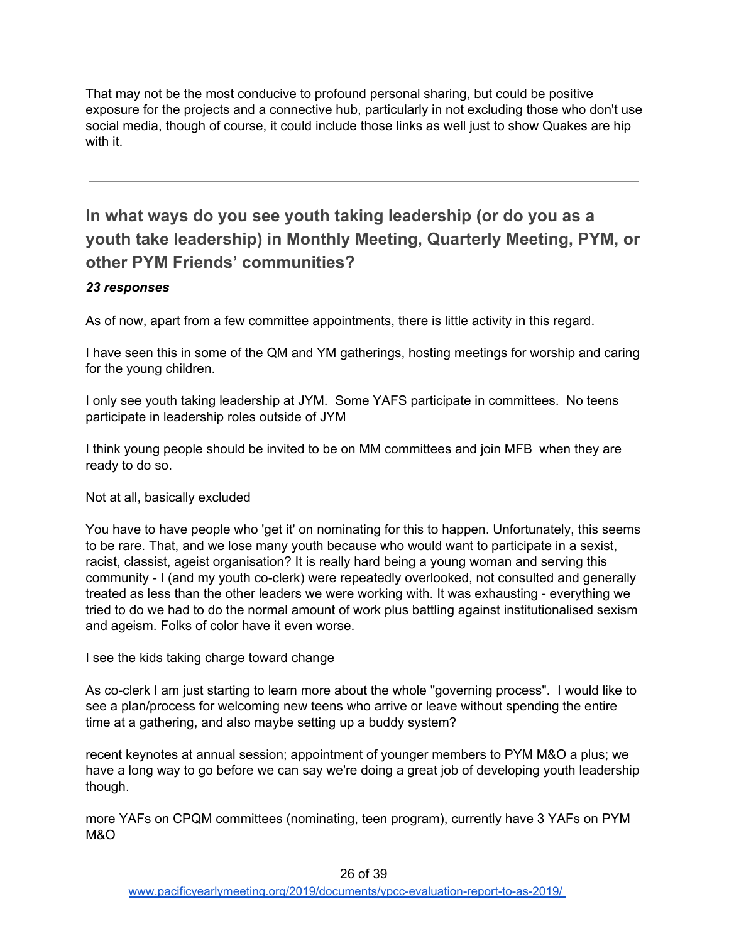That may not be the most conducive to profound personal sharing, but could be positive exposure for the projects and a connective hub, particularly in not excluding those who don't use social media, though of course, it could include those links as well just to show Quakes are hip with it.

# <span id="page-25-0"></span>**In what ways do you see youth taking leadership (or do you as a youth take leadership) in Monthly Meeting, Quarterly Meeting, PYM, or other PYM Friends' communities?**

### *23 responses*

As of now, apart from a few committee appointments, there is little activity in this regard.

I have seen this in some of the QM and YM gatherings, hosting meetings for worship and caring for the young children.

I only see youth taking leadership at JYM. Some YAFS participate in committees. No teens participate in leadership roles outside of JYM

I think young people should be invited to be on MM committees and join MFB when they are ready to do so.

Not at all, basically excluded

You have to have people who 'get it' on nominating for this to happen. Unfortunately, this seems to be rare. That, and we lose many youth because who would want to participate in a sexist, racist, classist, ageist organisation? It is really hard being a young woman and serving this community - I (and my youth co-clerk) were repeatedly overlooked, not consulted and generally treated as less than the other leaders we were working with. It was exhausting - everything we tried to do we had to do the normal amount of work plus battling against institutionalised sexism and ageism. Folks of color have it even worse.

I see the kids taking charge toward change

As co-clerk I am just starting to learn more about the whole "governing process". I would like to see a plan/process for welcoming new teens who arrive or leave without spending the entire time at a gathering, and also maybe setting up a buddy system?

recent keynotes at annual session; appointment of younger members to PYM M&O a plus; we have a long way to go before we can say we're doing a great job of developing youth leadership though.

more YAFs on CPQM committees (nominating, teen program), currently have 3 YAFs on PYM M&O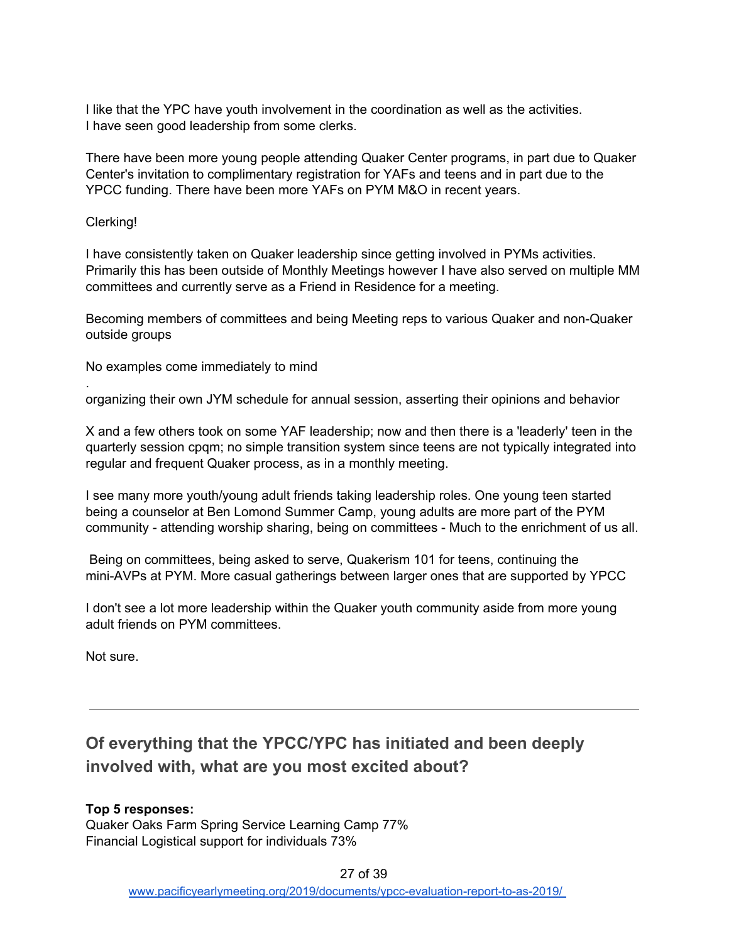I like that the YPC have youth involvement in the coordination as well as the activities. I have seen good leadership from some clerks.

There have been more young people attending Quaker Center programs, in part due to Quaker Center's invitation to complimentary registration for YAFs and teens and in part due to the YPCC funding. There have been more YAFs on PYM M&O in recent years.

Clerking!

.

I have consistently taken on Quaker leadership since getting involved in PYMs activities. Primarily this has been outside of Monthly Meetings however I have also served on multiple MM committees and currently serve as a Friend in Residence for a meeting.

Becoming members of committees and being Meeting reps to various Quaker and non-Quaker outside groups

No examples come immediately to mind

organizing their own JYM schedule for annual session, asserting their opinions and behavior

X and a few others took on some YAF leadership; now and then there is a 'leaderly' teen in the quarterly session cpqm; no simple transition system since teens are not typically integrated into regular and frequent Quaker process, as in a monthly meeting.

I see many more youth/young adult friends taking leadership roles. One young teen started being a counselor at Ben Lomond Summer Camp, young adults are more part of the PYM community - attending worship sharing, being on committees - Much to the enrichment of us all.

Being on committees, being asked to serve, Quakerism 101 for teens, continuing the mini-AVPs at PYM. More casual gatherings between larger ones that are supported by YPCC

I don't see a lot more leadership within the Quaker youth community aside from more young adult friends on PYM committees.

Not sure.

# <span id="page-26-0"></span>**Of everything that the YPCC/YPC has initiated and been deeply involved with, what are you most excited about?**

#### **Top 5 responses:** Quaker Oaks Farm Spring Service Learning Camp 77% Financial Logistical support for individuals 73%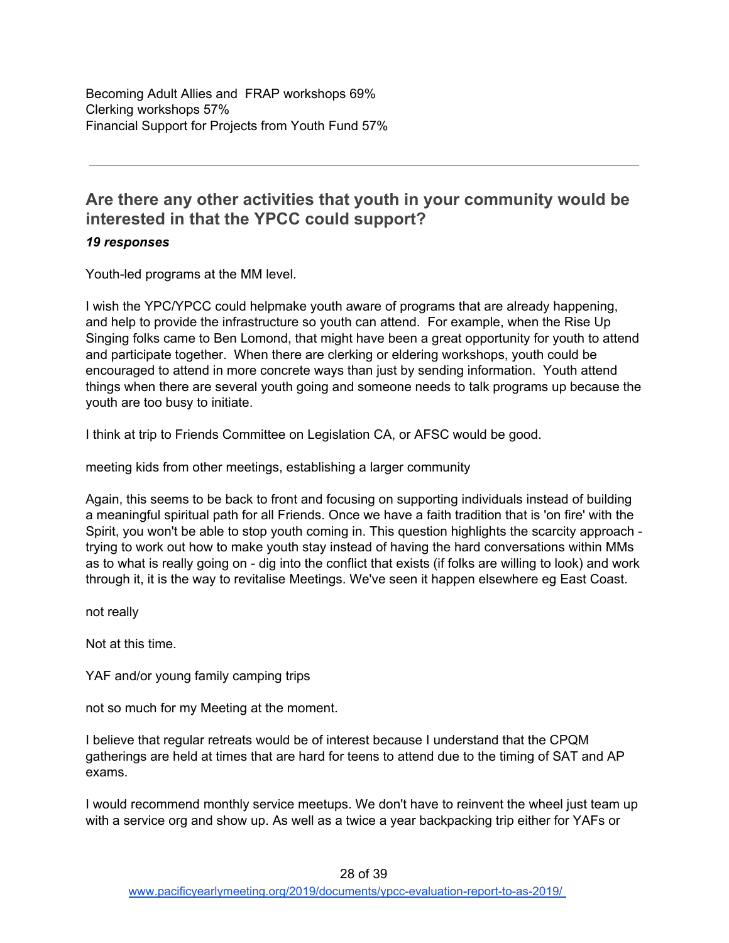# <span id="page-27-0"></span>**Are there any other activities that youth in your community would be interested in that the YPCC could support?**

#### *19 responses*

Youth-led programs at the MM level.

I wish the YPC/YPCC could helpmake youth aware of programs that are already happening, and help to provide the infrastructure so youth can attend. For example, when the Rise Up Singing folks came to Ben Lomond, that might have been a great opportunity for youth to attend and participate together. When there are clerking or eldering workshops, youth could be encouraged to attend in more concrete ways than just by sending information. Youth attend things when there are several youth going and someone needs to talk programs up because the youth are too busy to initiate.

I think at trip to Friends Committee on Legislation CA, or AFSC would be good.

meeting kids from other meetings, establishing a larger community

Again, this seems to be back to front and focusing on supporting individuals instead of building a meaningful spiritual path for all Friends. Once we have a faith tradition that is 'on fire' with the Spirit, you won't be able to stop youth coming in. This question highlights the scarcity approach trying to work out how to make youth stay instead of having the hard conversations within MMs as to what is really going on - dig into the conflict that exists (if folks are willing to look) and work through it, it is the way to revitalise Meetings. We've seen it happen elsewhere eg East Coast.

not really

Not at this time.

YAF and/or young family camping trips

not so much for my Meeting at the moment.

I believe that regular retreats would be of interest because I understand that the CPQM gatherings are held at times that are hard for teens to attend due to the timing of SAT and AP exams.

I would recommend monthly service meetups. We don't have to reinvent the wheel just team up with a service org and show up. As well as a twice a year backpacking trip either for YAFs or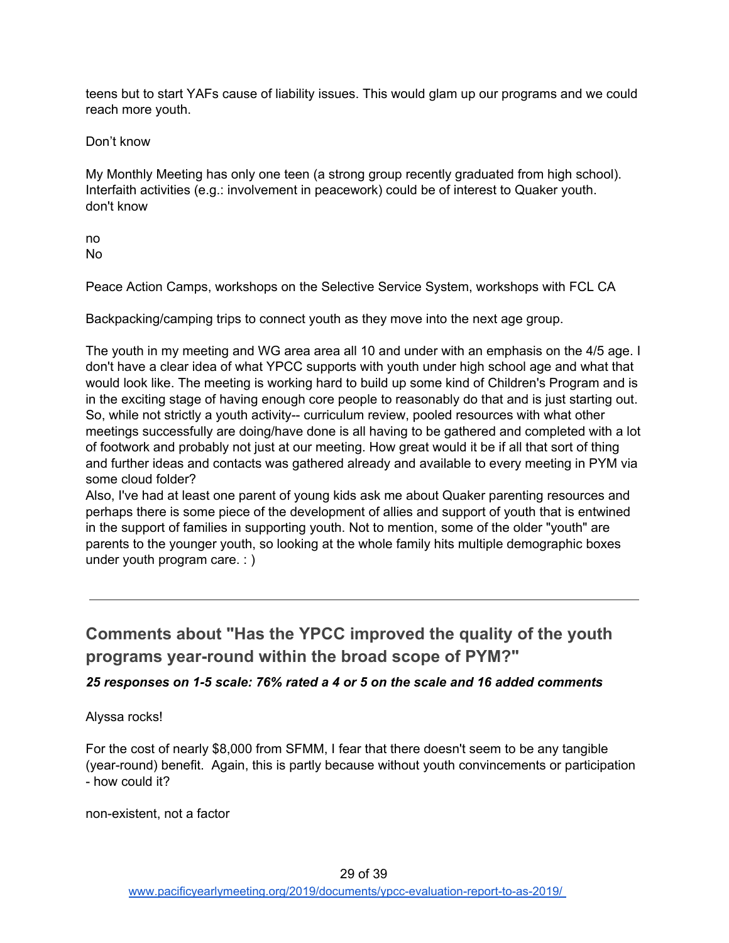teens but to start YAFs cause of liability issues. This would glam up our programs and we could reach more youth.

Don't know

My Monthly Meeting has only one teen (a strong group recently graduated from high school). Interfaith activities (e.g.: involvement in peacework) could be of interest to Quaker youth. don't know

no No

Peace Action Camps, workshops on the Selective Service System, workshops with FCL CA

Backpacking/camping trips to connect youth as they move into the next age group.

The youth in my meeting and WG area area all 10 and under with an emphasis on the 4/5 age. I don't have a clear idea of what YPCC supports with youth under high school age and what that would look like. The meeting is working hard to build up some kind of Children's Program and is in the exciting stage of having enough core people to reasonably do that and is just starting out. So, while not strictly a youth activity-- curriculum review, pooled resources with what other meetings successfully are doing/have done is all having to be gathered and completed with a lot of footwork and probably not just at our meeting. How great would it be if all that sort of thing and further ideas and contacts was gathered already and available to every meeting in PYM via some cloud folder?

Also, I've had at least one parent of young kids ask me about Quaker parenting resources and perhaps there is some piece of the development of allies and support of youth that is entwined in the support of families in supporting youth. Not to mention, some of the older "youth" are parents to the younger youth, so looking at the whole family hits multiple demographic boxes under youth program care. : )

<span id="page-28-0"></span>**Comments about "Has the YPCC improved the quality of the youth programs year-round within the broad scope of PYM?"**

*25 responses on 1-5 scale: 76% rated a 4 or 5 on the scale and 16 added comments*

Alyssa rocks!

For the cost of nearly \$8,000 from SFMM, I fear that there doesn't seem to be any tangible (year-round) benefit. Again, this is partly because without youth convincements or participation - how could it?

non-existent, not a factor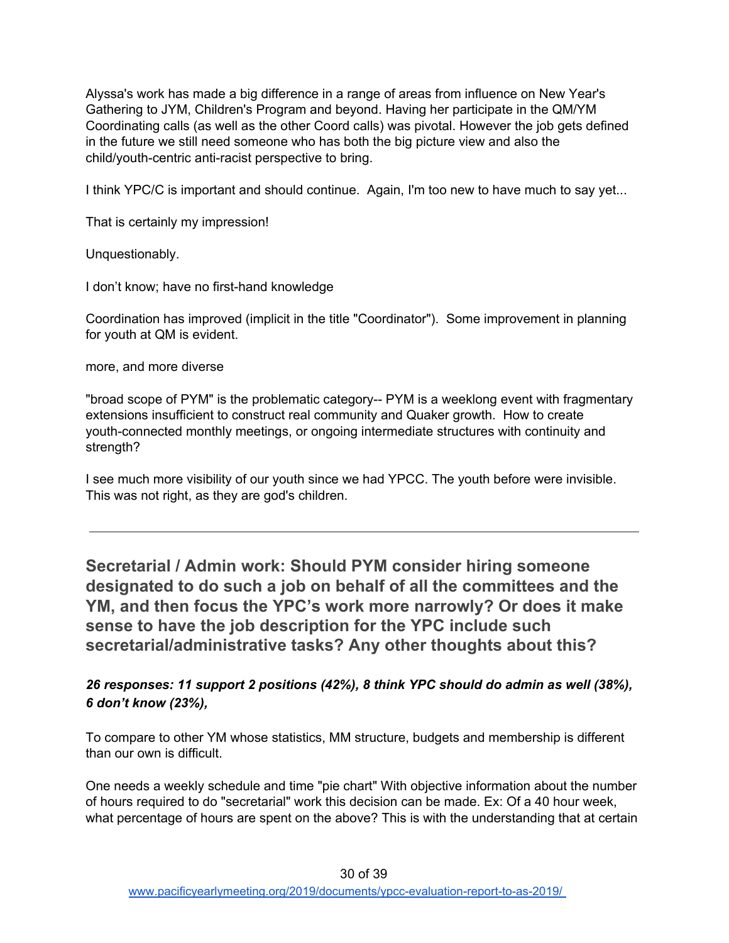Alyssa's work has made a big difference in a range of areas from influence on New Year's Gathering to JYM, Children's Program and beyond. Having her participate in the QM/YM Coordinating calls (as well as the other Coord calls) was pivotal. However the job gets defined in the future we still need someone who has both the big picture view and also the child/youth-centric anti-racist perspective to bring.

I think YPC/C is important and should continue. Again, I'm too new to have much to say yet...

That is certainly my impression!

Unquestionably.

I don't know; have no first-hand knowledge

Coordination has improved (implicit in the title "Coordinator"). Some improvement in planning for youth at QM is evident.

more, and more diverse

"broad scope of PYM" is the problematic category-- PYM is a weeklong event with fragmentary extensions insufficient to construct real community and Quaker growth. How to create youth-connected monthly meetings, or ongoing intermediate structures with continuity and strength?

I see much more visibility of our youth since we had YPCC. The youth before were invisible. This was not right, as they are god's children.

<span id="page-29-0"></span>**Secretarial / Admin work: Should PYM consider hiring someone designated to do such a job on behalf of all the committees and the YM, and then focus the YPC's work more narrowly? Or does it make sense to have the job description for the YPC include such secretarial/administrative tasks? Any other thoughts about this?**

*26 responses: 11 support 2 positions (42%), 8 think YPC should do admin as well (38%), 6 don't know (23%),*

To compare to other YM whose statistics, MM structure, budgets and membership is different than our own is difficult.

One needs a weekly schedule and time "pie chart" With objective information about the number of hours required to do "secretarial" work this decision can be made. Ex: Of a 40 hour week, what percentage of hours are spent on the above? This is with the understanding that at certain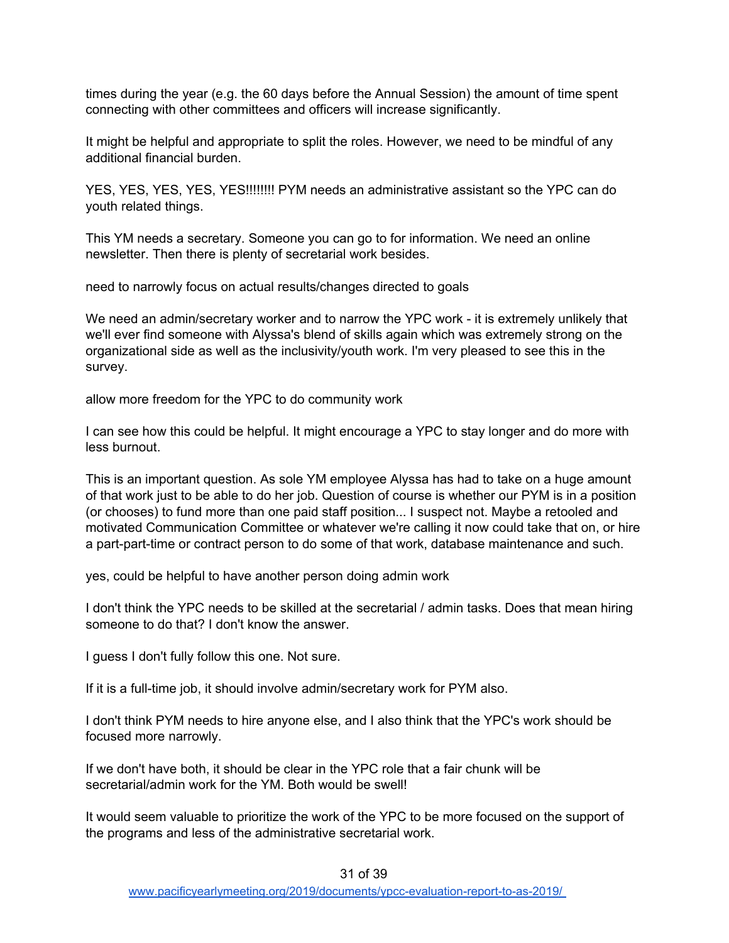times during the year (e.g. the 60 days before the Annual Session) the amount of time spent connecting with other committees and officers will increase significantly.

It might be helpful and appropriate to split the roles. However, we need to be mindful of any additional financial burden.

YES, YES, YES, YES, YES!!!!!!!! PYM needs an administrative assistant so the YPC can do youth related things.

This YM needs a secretary. Someone you can go to for information. We need an online newsletter. Then there is plenty of secretarial work besides.

need to narrowly focus on actual results/changes directed to goals

We need an admin/secretary worker and to narrow the YPC work - it is extremely unlikely that we'll ever find someone with Alyssa's blend of skills again which was extremely strong on the organizational side as well as the inclusivity/youth work. I'm very pleased to see this in the survey.

allow more freedom for the YPC to do community work

I can see how this could be helpful. It might encourage a YPC to stay longer and do more with less burnout.

This is an important question. As sole YM employee Alyssa has had to take on a huge amount of that work just to be able to do her job. Question of course is whether our PYM is in a position (or chooses) to fund more than one paid staff position... I suspect not. Maybe a retooled and motivated Communication Committee or whatever we're calling it now could take that on, or hire a part-part-time or contract person to do some of that work, database maintenance and such.

yes, could be helpful to have another person doing admin work

I don't think the YPC needs to be skilled at the secretarial / admin tasks. Does that mean hiring someone to do that? I don't know the answer.

I guess I don't fully follow this one. Not sure.

If it is a full-time job, it should involve admin/secretary work for PYM also.

I don't think PYM needs to hire anyone else, and I also think that the YPC's work should be focused more narrowly.

If we don't have both, it should be clear in the YPC role that a fair chunk will be secretarial/admin work for the YM. Both would be swell!

It would seem valuable to prioritize the work of the YPC to be more focused on the support of the programs and less of the administrative secretarial work.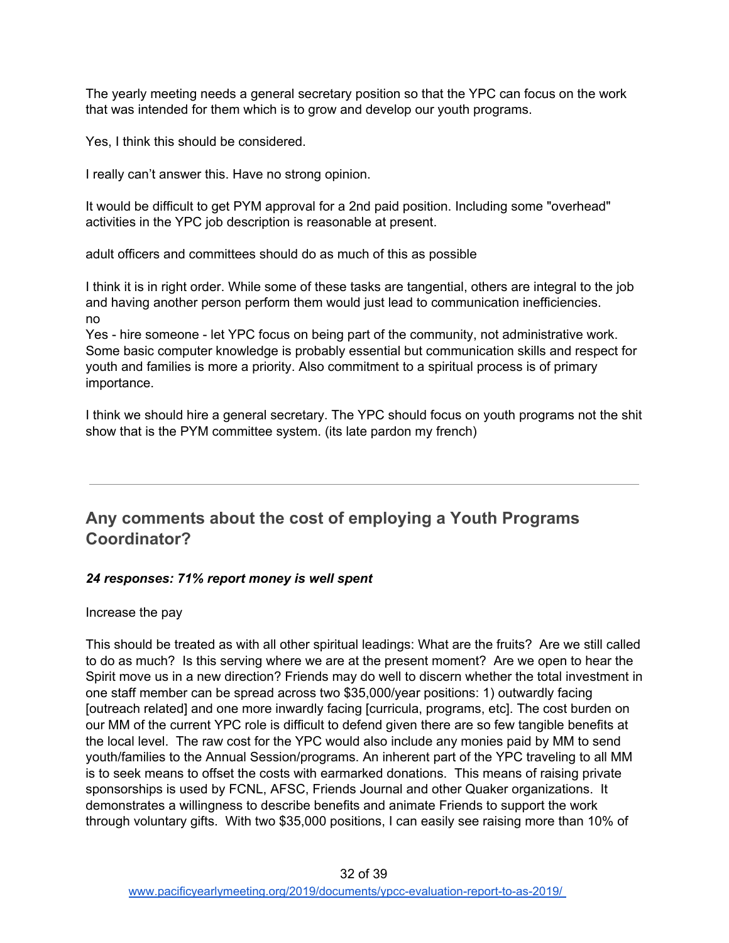The yearly meeting needs a general secretary position so that the YPC can focus on the work that was intended for them which is to grow and develop our youth programs.

Yes, I think this should be considered.

I really can't answer this. Have no strong opinion.

It would be difficult to get PYM approval for a 2nd paid position. Including some "overhead" activities in the YPC job description is reasonable at present.

adult officers and committees should do as much of this as possible

I think it is in right order. While some of these tasks are tangential, others are integral to the job and having another person perform them would just lead to communication inefficiencies. no

Yes - hire someone - let YPC focus on being part of the community, not administrative work. Some basic computer knowledge is probably essential but communication skills and respect for youth and families is more a priority. Also commitment to a spiritual process is of primary importance.

I think we should hire a general secretary. The YPC should focus on youth programs not the shit show that is the PYM committee system. (its late pardon my french)

## <span id="page-31-0"></span>**Any comments about the cost of employing a Youth Programs Coordinator?**

#### *24 responses: 71% report money is well spent*

Increase the pay

This should be treated as with all other spiritual leadings: What are the fruits? Are we still called to do as much? Is this serving where we are at the present moment? Are we open to hear the Spirit move us in a new direction? Friends may do well to discern whether the total investment in one staff member can be spread across two \$35,000/year positions: 1) outwardly facing [outreach related] and one more inwardly facing [curricula, programs, etc]. The cost burden on our MM of the current YPC role is difficult to defend given there are so few tangible benefits at the local level. The raw cost for the YPC would also include any monies paid by MM to send youth/families to the Annual Session/programs. An inherent part of the YPC traveling to all MM is to seek means to offset the costs with earmarked donations. This means of raising private sponsorships is used by FCNL, AFSC, Friends Journal and other Quaker organizations. It demonstrates a willingness to describe benefits and animate Friends to support the work through voluntary gifts. With two \$35,000 positions, I can easily see raising more than 10% of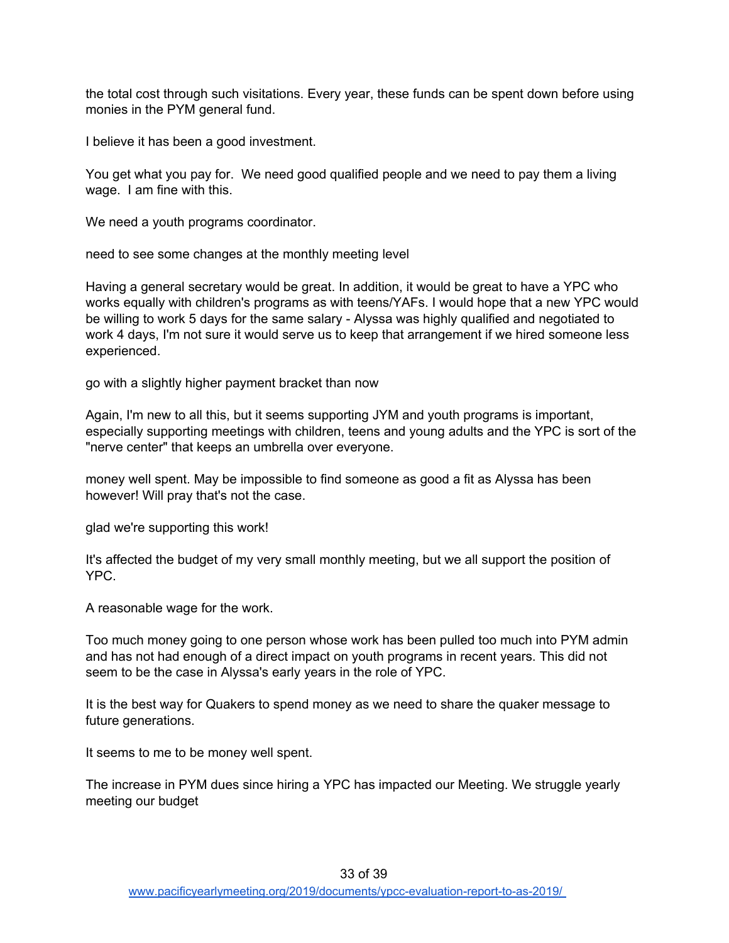the total cost through such visitations. Every year, these funds can be spent down before using monies in the PYM general fund.

I believe it has been a good investment.

You get what you pay for. We need good qualified people and we need to pay them a living wage. I am fine with this.

We need a youth programs coordinator.

need to see some changes at the monthly meeting level

Having a general secretary would be great. In addition, it would be great to have a YPC who works equally with children's programs as with teens/YAFs. I would hope that a new YPC would be willing to work 5 days for the same salary - Alyssa was highly qualified and negotiated to work 4 days, I'm not sure it would serve us to keep that arrangement if we hired someone less experienced.

go with a slightly higher payment bracket than now

Again, I'm new to all this, but it seems supporting JYM and youth programs is important, especially supporting meetings with children, teens and young adults and the YPC is sort of the "nerve center" that keeps an umbrella over everyone.

money well spent. May be impossible to find someone as good a fit as Alyssa has been however! Will pray that's not the case.

glad we're supporting this work!

It's affected the budget of my very small monthly meeting, but we all support the position of YPC.

A reasonable wage for the work.

Too much money going to one person whose work has been pulled too much into PYM admin and has not had enough of a direct impact on youth programs in recent years. This did not seem to be the case in Alyssa's early years in the role of YPC.

It is the best way for Quakers to spend money as we need to share the quaker message to future generations.

It seems to me to be money well spent.

The increase in PYM dues since hiring a YPC has impacted our Meeting. We struggle yearly meeting our budget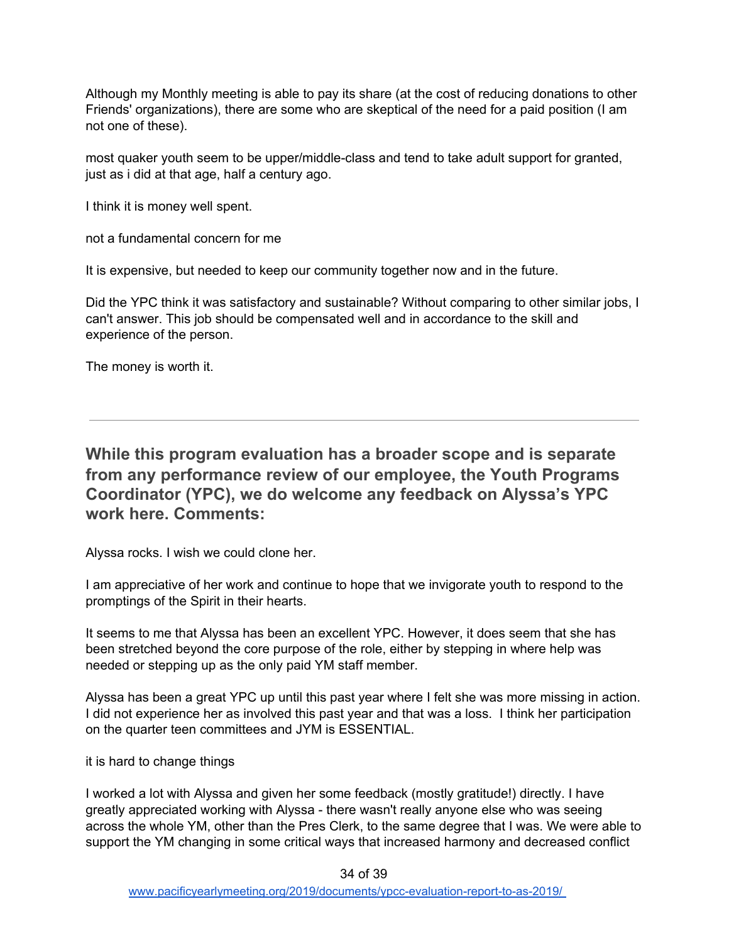Although my Monthly meeting is able to pay its share (at the cost of reducing donations to other Friends' organizations), there are some who are skeptical of the need for a paid position (I am not one of these).

most quaker youth seem to be upper/middle-class and tend to take adult support for granted, just as i did at that age, half a century ago.

I think it is money well spent.

not a fundamental concern for me

It is expensive, but needed to keep our community together now and in the future.

Did the YPC think it was satisfactory and sustainable? Without comparing to other similar jobs, I can't answer. This job should be compensated well and in accordance to the skill and experience of the person.

The money is worth it.

<span id="page-33-0"></span>**While this program evaluation has a broader scope and is separate from any performance review of our employee, the Youth Programs Coordinator (YPC), we do welcome any feedback on Alyssa's YPC work here. Comments:**

Alyssa rocks. I wish we could clone her.

I am appreciative of her work and continue to hope that we invigorate youth to respond to the promptings of the Spirit in their hearts.

It seems to me that Alyssa has been an excellent YPC. However, it does seem that she has been stretched beyond the core purpose of the role, either by stepping in where help was needed or stepping up as the only paid YM staff member.

Alyssa has been a great YPC up until this past year where I felt she was more missing in action. I did not experience her as involved this past year and that was a loss. I think her participation on the quarter teen committees and JYM is ESSENTIAL.

it is hard to change things

I worked a lot with Alyssa and given her some feedback (mostly gratitude!) directly. I have greatly appreciated working with Alyssa - there wasn't really anyone else who was seeing across the whole YM, other than the Pres Clerk, to the same degree that I was. We were able to support the YM changing in some critical ways that increased harmony and decreased conflict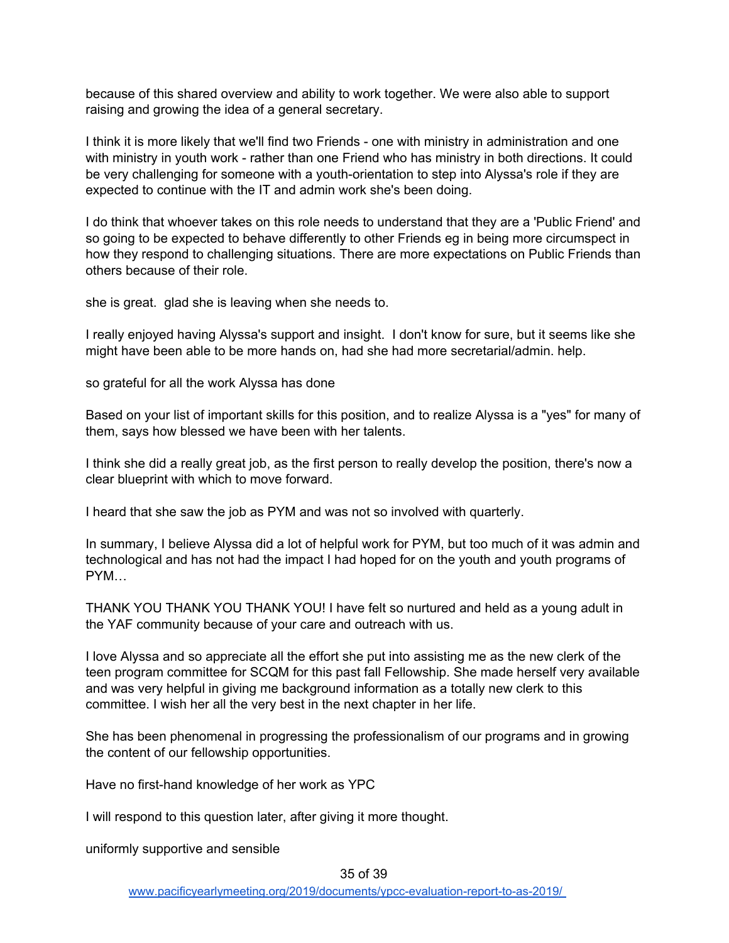because of this shared overview and ability to work together. We were also able to support raising and growing the idea of a general secretary.

I think it is more likely that we'll find two Friends - one with ministry in administration and one with ministry in youth work - rather than one Friend who has ministry in both directions. It could be very challenging for someone with a youth-orientation to step into Alyssa's role if they are expected to continue with the IT and admin work she's been doing.

I do think that whoever takes on this role needs to understand that they are a 'Public Friend' and so going to be expected to behave differently to other Friends eg in being more circumspect in how they respond to challenging situations. There are more expectations on Public Friends than others because of their role.

she is great. glad she is leaving when she needs to.

I really enjoyed having Alyssa's support and insight. I don't know for sure, but it seems like she might have been able to be more hands on, had she had more secretarial/admin. help.

so grateful for all the work Alyssa has done

Based on your list of important skills for this position, and to realize Alyssa is a "yes" for many of them, says how blessed we have been with her talents.

I think she did a really great job, as the first person to really develop the position, there's now a clear blueprint with which to move forward.

I heard that she saw the job as PYM and was not so involved with quarterly.

In summary, I believe Alyssa did a lot of helpful work for PYM, but too much of it was admin and technological and has not had the impact I had hoped for on the youth and youth programs of PYM…

THANK YOU THANK YOU THANK YOU! I have felt so nurtured and held as a young adult in the YAF community because of your care and outreach with us.

I love Alyssa and so appreciate all the effort she put into assisting me as the new clerk of the teen program committee for SCQM for this past fall Fellowship. She made herself very available and was very helpful in giving me background information as a totally new clerk to this committee. I wish her all the very best in the next chapter in her life.

She has been phenomenal in progressing the professionalism of our programs and in growing the content of our fellowship opportunities.

Have no first-hand knowledge of her work as YPC

I will respond to this question later, after giving it more thought.

uniformly supportive and sensible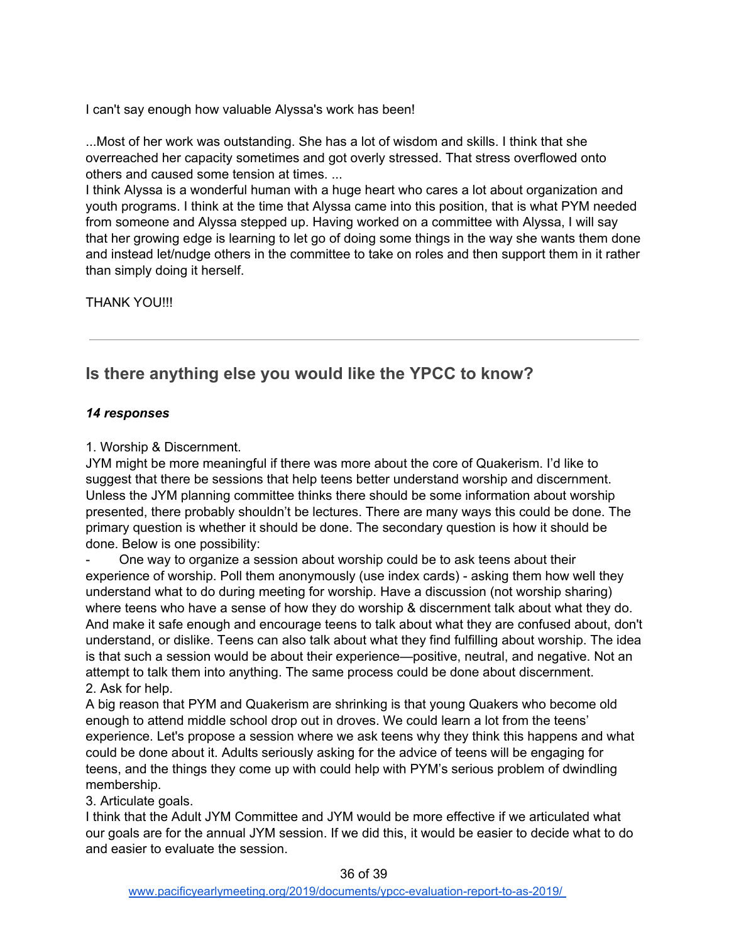I can't say enough how valuable Alyssa's work has been!

...Most of her work was outstanding. She has a lot of wisdom and skills. I think that she overreached her capacity sometimes and got overly stressed. That stress overflowed onto others and caused some tension at times. ...

I think Alyssa is a wonderful human with a huge heart who cares a lot about organization and youth programs. I think at the time that Alyssa came into this position, that is what PYM needed from someone and Alyssa stepped up. Having worked on a committee with Alyssa, I will say that her growing edge is learning to let go of doing some things in the way she wants them done and instead let/nudge others in the committee to take on roles and then support them in it rather than simply doing it herself.

THANK YOU!!!

# <span id="page-35-0"></span>**Is there anything else you would like the YPCC to know?**

#### *14 responses*

1. Worship & Discernment.

JYM might be more meaningful if there was more about the core of Quakerism. I'd like to suggest that there be sessions that help teens better understand worship and discernment. Unless the JYM planning committee thinks there should be some information about worship presented, there probably shouldn't be lectures. There are many ways this could be done. The primary question is whether it should be done. The secondary question is how it should be done. Below is one possibility:

- One way to organize a session about worship could be to ask teens about their experience of worship. Poll them anonymously (use index cards) - asking them how well they understand what to do during meeting for worship. Have a discussion (not worship sharing) where teens who have a sense of how they do worship & discernment talk about what they do. And make it safe enough and encourage teens to talk about what they are confused about, don't understand, or dislike. Teens can also talk about what they find fulfilling about worship. The idea is that such a session would be about their experience—positive, neutral, and negative. Not an attempt to talk them into anything. The same process could be done about discernment. 2. Ask for help.

A big reason that PYM and Quakerism are shrinking is that young Quakers who become old enough to attend middle school drop out in droves. We could learn a lot from the teens' experience. Let's propose a session where we ask teens why they think this happens and what could be done about it. Adults seriously asking for the advice of teens will be engaging for teens, and the things they come up with could help with PYM's serious problem of dwindling membership.

#### 3. Articulate goals.

I think that the Adult JYM Committee and JYM would be more effective if we articulated what our goals are for the annual JYM session. If we did this, it would be easier to decide what to do and easier to evaluate the session.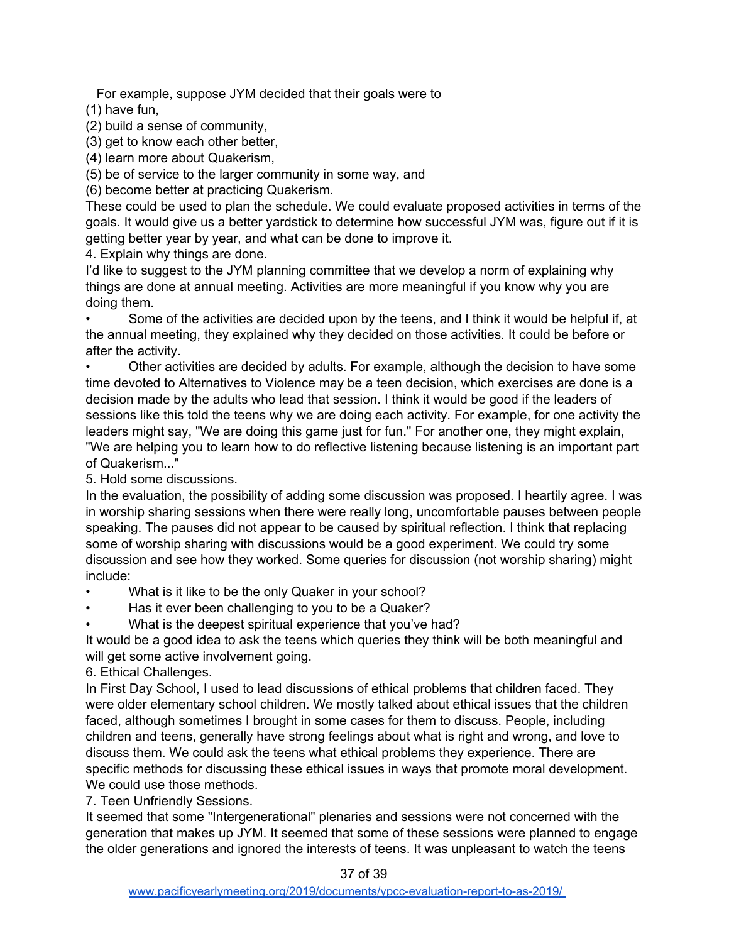For example, suppose JYM decided that their goals were to

(1) have fun,

(2) build a sense of community,

(3) get to know each other better,

(4) learn more about Quakerism,

(5) be of service to the larger community in some way, and

(6) become better at practicing Quakerism.

These could be used to plan the schedule. We could evaluate proposed activities in terms of the goals. It would give us a better yardstick to determine how successful JYM was, figure out if it is getting better year by year, and what can be done to improve it.

4. Explain why things are done.

I'd like to suggest to the JYM planning committee that we develop a norm of explaining why things are done at annual meeting. Activities are more meaningful if you know why you are doing them.

Some of the activities are decided upon by the teens, and I think it would be helpful if, at the annual meeting, they explained why they decided on those activities. It could be before or after the activity.

• Other activities are decided by adults. For example, although the decision to have some time devoted to Alternatives to Violence may be a teen decision, which exercises are done is a decision made by the adults who lead that session. I think it would be good if the leaders of sessions like this told the teens why we are doing each activity. For example, for one activity the leaders might say, "We are doing this game just for fun." For another one, they might explain, "We are helping you to learn how to do reflective listening because listening is an important part of Quakerism..."

5. Hold some discussions.

In the evaluation, the possibility of adding some discussion was proposed. I heartily agree. I was in worship sharing sessions when there were really long, uncomfortable pauses between people speaking. The pauses did not appear to be caused by spiritual reflection. I think that replacing some of worship sharing with discussions would be a good experiment. We could try some discussion and see how they worked. Some queries for discussion (not worship sharing) might include:

What is it like to be the only Quaker in your school?

Has it ever been challenging to you to be a Quaker?

What is the deepest spiritual experience that you've had?

It would be a good idea to ask the teens which queries they think will be both meaningful and will get some active involvement going.

6. Ethical Challenges.

In First Day School, I used to lead discussions of ethical problems that children faced. They were older elementary school children. We mostly talked about ethical issues that the children faced, although sometimes I brought in some cases for them to discuss. People, including children and teens, generally have strong feelings about what is right and wrong, and love to discuss them. We could ask the teens what ethical problems they experience. There are specific methods for discussing these ethical issues in ways that promote moral development. We could use those methods.

7. Teen Unfriendly Sessions.

It seemed that some "Intergenerational" plenaries and sessions were not concerned with the generation that makes up JYM. It seemed that some of these sessions were planned to engage the older generations and ignored the interests of teens. It was unpleasant to watch the teens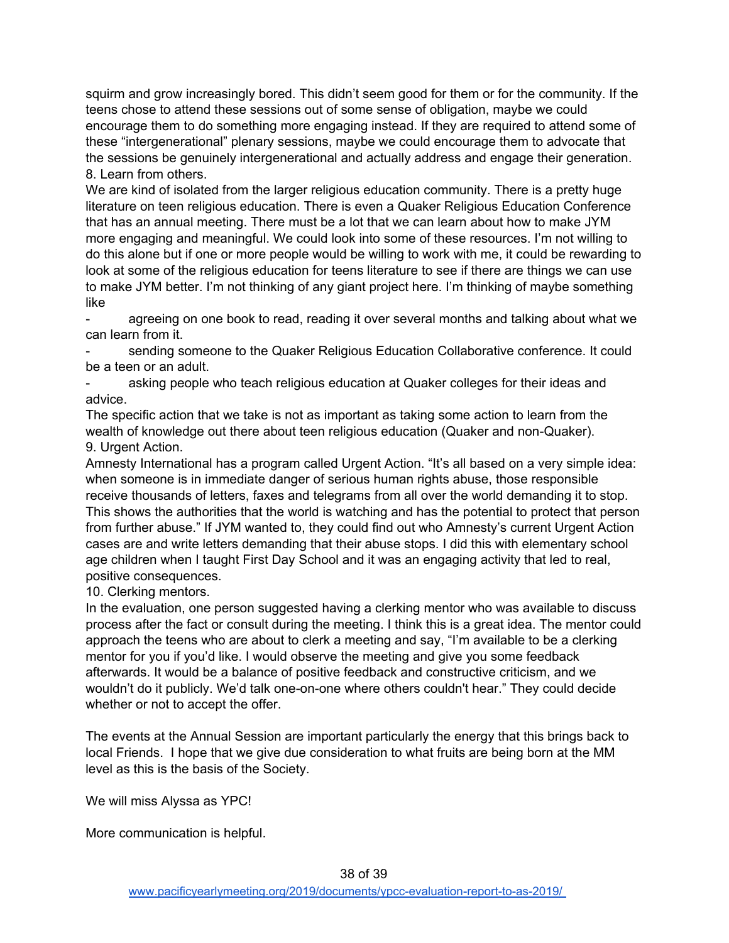squirm and grow increasingly bored. This didn't seem good for them or for the community. If the teens chose to attend these sessions out of some sense of obligation, maybe we could encourage them to do something more engaging instead. If they are required to attend some of these "intergenerational" plenary sessions, maybe we could encourage them to advocate that the sessions be genuinely intergenerational and actually address and engage their generation. 8. Learn from others.

We are kind of isolated from the larger religious education community. There is a pretty huge literature on teen religious education. There is even a Quaker Religious Education Conference that has an annual meeting. There must be a lot that we can learn about how to make JYM more engaging and meaningful. We could look into some of these resources. I'm not willing to do this alone but if one or more people would be willing to work with me, it could be rewarding to look at some of the religious education for teens literature to see if there are things we can use to make JYM better. I'm not thinking of any giant project here. I'm thinking of maybe something like

agreeing on one book to read, reading it over several months and talking about what we can learn from it.

sending someone to the Quaker Religious Education Collaborative conference. It could be a teen or an adult.

asking people who teach religious education at Quaker colleges for their ideas and advice.

The specific action that we take is not as important as taking some action to learn from the wealth of knowledge out there about teen religious education (Quaker and non-Quaker). 9. Urgent Action.

Amnesty International has a program called Urgent Action. "It's all based on a very simple idea: when someone is in immediate danger of serious human rights abuse, those responsible receive thousands of letters, faxes and telegrams from all over the world demanding it to stop. This shows the authorities that the world is watching and has the potential to protect that person from further abuse." If JYM wanted to, they could find out who Amnesty's current Urgent Action cases are and write letters demanding that their abuse stops. I did this with elementary school age children when I taught First Day School and it was an engaging activity that led to real, positive consequences.

10. Clerking mentors.

In the evaluation, one person suggested having a clerking mentor who was available to discuss process after the fact or consult during the meeting. I think this is a great idea. The mentor could approach the teens who are about to clerk a meeting and say, "I'm available to be a clerking mentor for you if you'd like. I would observe the meeting and give you some feedback afterwards. It would be a balance of positive feedback and constructive criticism, and we wouldn't do it publicly. We'd talk one-on-one where others couldn't hear." They could decide whether or not to accept the offer.

The events at the Annual Session are important particularly the energy that this brings back to local Friends. I hope that we give due consideration to what fruits are being born at the MM level as this is the basis of the Society.

We will miss Alyssa as YPC!

More communication is helpful.